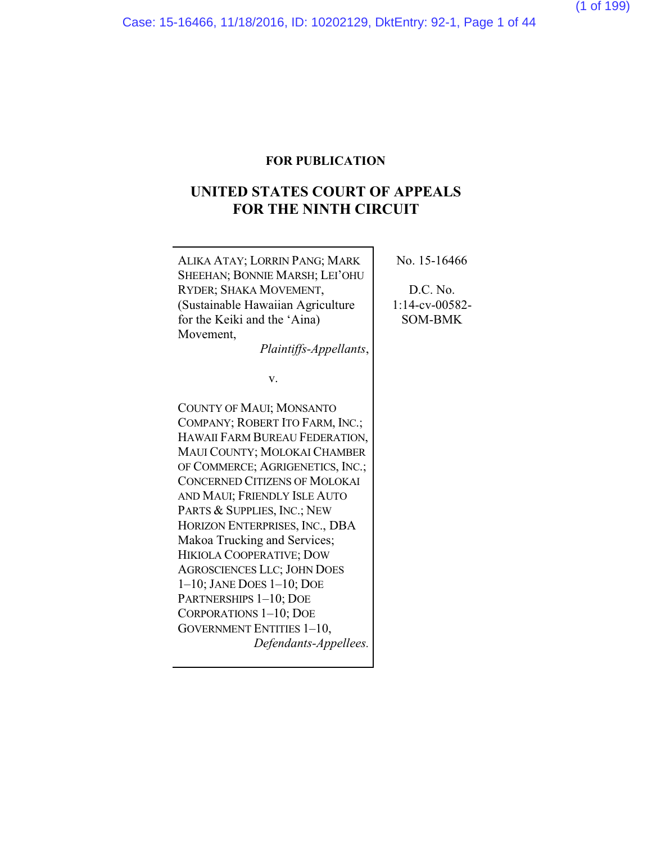### **FOR PUBLICATION**

# **UNITED STATES COURT OF APPEALS FOR THE NINTH CIRCUIT**

ALIKA ATAY; LORRIN PANG; MARK SHEEHAN; BONNIE MARSH; LEI'OHU RYDER; SHAKA MOVEMENT, (Sustainable Hawaiian Agriculture for the Keiki and the 'Aina) Movement, *Plaintiffs-Appellants*, v. COUNTY OF MAUI; MONSANTO COMPANY; ROBERT ITO FARM, INC.; HAWAII FARM BUREAU FEDERATION, MAUI COUNTY; MOLOKAI CHAMBER OF COMMERCE; AGRIGENETICS, INC.; CONCERNED CITIZENS OF MOLOKAI AND MAUI; FRIENDLY ISLE AUTO PARTS & SUPPLIES, INC.; NEW HORIZON ENTERPRISES, INC., DBA Makoa Trucking and Services; HIKIOLA COOPERATIVE; DOW AGROSCIENCES LLC; JOHN DOES 1–10; JANE DOES 1–10; DOE PARTNERSHIPS 1–10; DOE CORPORATIONS 1–10; DOE GOVERNMENT ENTITIES 1–10, *Defendants-Appellees.*

No. 15-16466

D.C. No. 1:14-cv-00582- SOM-BMK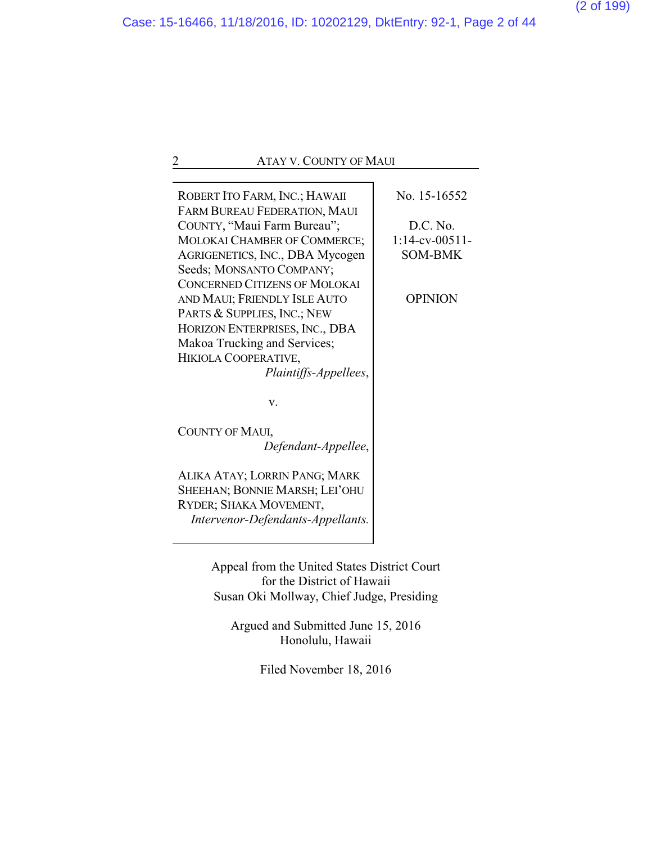ROBERT ITO FARM, INC.; HAWAII FARM BUREAU FEDERATION, MAUI COUNTY, "Maui Farm Bureau"; MOLOKAI CHAMBER OF COMMERCE; AGRIGENETICS, INC., DBA Mycogen Seeds; MONSANTO COMPANY; CONCERNED CITIZENS OF MOLOKAI AND MAUI; FRIENDLY ISLE AUTO PARTS & SUPPLIES, INC.; NEW HORIZON ENTERPRISES, INC., DBA Makoa Trucking and Services; HIKIOLA COOPERATIVE, *Plaintiffs-Appellees*,

v.

COUNTY OF MAUI, *Defendant-Appellee*,

ALIKA ATAY; LORRIN PANG; MARK SHEEHAN; BONNIE MARSH; LEI'OHU RYDER; SHAKA MOVEMENT, *Intervenor-Defendants-Appellants.* No. 15-16552

D.C. No. 1:14-cv-00511- SOM-BMK

OPINION

Appeal from the United States District Court for the District of Hawaii Susan Oki Mollway, Chief Judge, Presiding

Argued and Submitted June 15, 2016 Honolulu, Hawaii

Filed November 18, 2016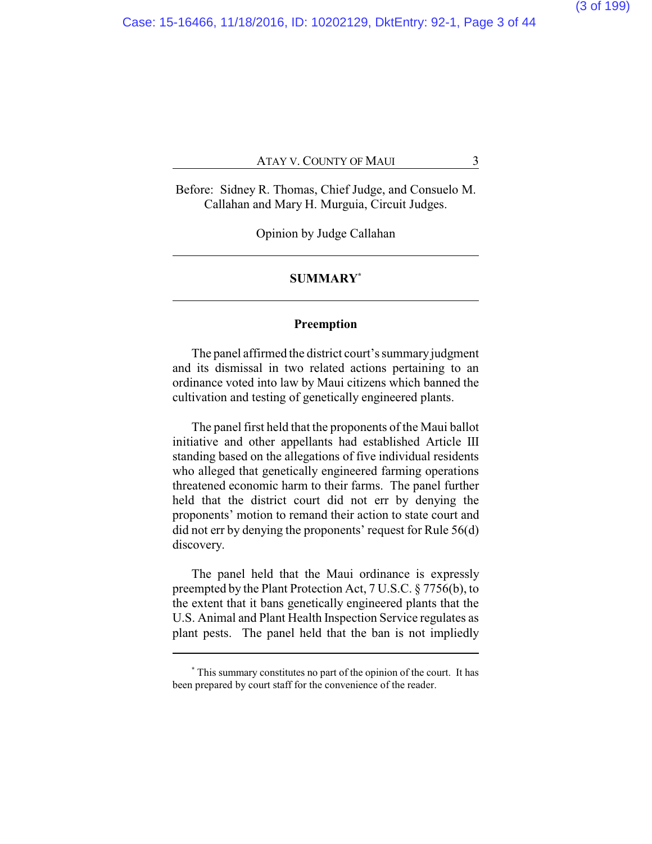Before: Sidney R. Thomas, Chief Judge, and Consuelo M. Callahan and Mary H. Murguia, Circuit Judges.

Opinion by Judge Callahan

#### **SUMMARY\***

#### **Preemption**

The panel affirmed the district court's summary judgment and its dismissal in two related actions pertaining to an ordinance voted into law by Maui citizens which banned the cultivation and testing of genetically engineered plants.

The panel first held that the proponents of the Maui ballot initiative and other appellants had established Article III standing based on the allegations of five individual residents who alleged that genetically engineered farming operations threatened economic harm to their farms. The panel further held that the district court did not err by denying the proponents' motion to remand their action to state court and did not err by denying the proponents' request for Rule 56(d) discovery.

The panel held that the Maui ordinance is expressly preempted by the Plant Protection Act, 7 U.S.C. § 7756(b), to the extent that it bans genetically engineered plants that the U.S. Animal and Plant Health Inspection Service regulates as plant pests. The panel held that the ban is not impliedly

**<sup>\*</sup>** This summary constitutes no part of the opinion of the court. It has been prepared by court staff for the convenience of the reader.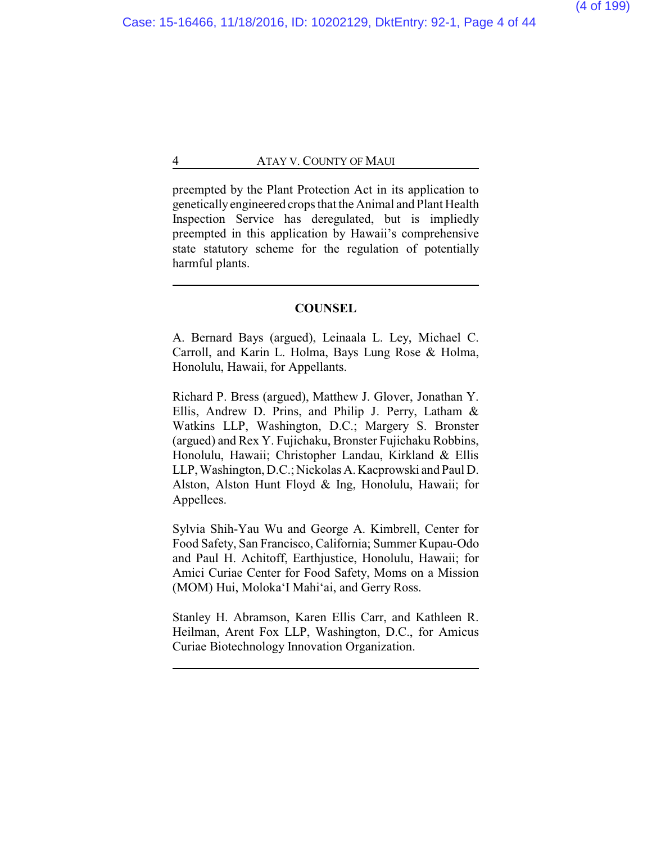preempted by the Plant Protection Act in its application to geneticallyengineered crops that the Animal and Plant Health Inspection Service has deregulated, but is impliedly preempted in this application by Hawaii's comprehensive state statutory scheme for the regulation of potentially harmful plants.

#### **COUNSEL**

A. Bernard Bays (argued), Leinaala L. Ley, Michael C. Carroll, and Karin L. Holma, Bays Lung Rose & Holma, Honolulu, Hawaii, for Appellants.

Richard P. Bress (argued), Matthew J. Glover, Jonathan Y. Ellis, Andrew D. Prins, and Philip J. Perry, Latham & Watkins LLP, Washington, D.C.; Margery S. Bronster (argued) and Rex Y. Fujichaku, Bronster Fujichaku Robbins, Honolulu, Hawaii; Christopher Landau, Kirkland & Ellis LLP, Washington, D.C.; Nickolas A. Kacprowski and Paul D. Alston, Alston Hunt Floyd & Ing, Honolulu, Hawaii; for Appellees.

Sylvia Shih-Yau Wu and George A. Kimbrell, Center for Food Safety, San Francisco, California; Summer Kupau-Odo and Paul H. Achitoff, Earthjustice, Honolulu, Hawaii; for Amici Curiae Center for Food Safety, Moms on a Mission (MOM) Hui, Moloka'I Mahi'ai, and Gerry Ross.

Stanley H. Abramson, Karen Ellis Carr, and Kathleen R. Heilman, Arent Fox LLP, Washington, D.C., for Amicus Curiae Biotechnology Innovation Organization.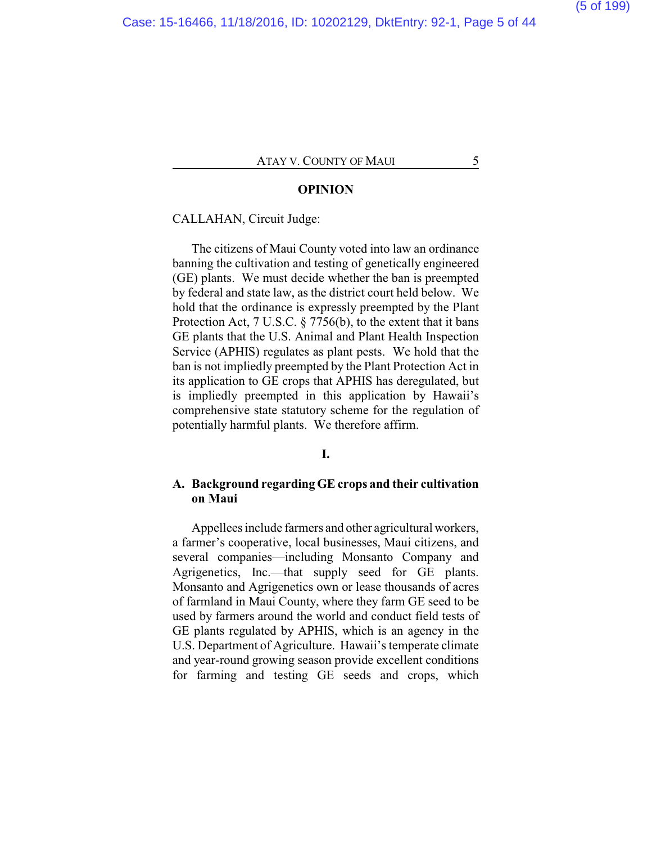#### **OPINION**

#### CALLAHAN, Circuit Judge:

The citizens of Maui County voted into law an ordinance banning the cultivation and testing of genetically engineered (GE) plants. We must decide whether the ban is preempted by federal and state law, as the district court held below. We hold that the ordinance is expressly preempted by the Plant Protection Act, 7 U.S.C. § 7756(b), to the extent that it bans GE plants that the U.S. Animal and Plant Health Inspection Service (APHIS) regulates as plant pests. We hold that the ban is not impliedly preempted by the Plant Protection Act in its application to GE crops that APHIS has deregulated, but is impliedly preempted in this application by Hawaii's comprehensive state statutory scheme for the regulation of potentially harmful plants. We therefore affirm.

#### **I.**

#### **A. Background regarding GE crops and their cultivation on Maui**

Appellees include farmers and other agricultural workers, a farmer's cooperative, local businesses, Maui citizens, and several companies—including Monsanto Company and Agrigenetics, Inc.—that supply seed for GE plants. Monsanto and Agrigenetics own or lease thousands of acres of farmland in Maui County, where they farm GE seed to be used by farmers around the world and conduct field tests of GE plants regulated by APHIS, which is an agency in the U.S. Department of Agriculture. Hawaii's temperate climate and year-round growing season provide excellent conditions for farming and testing GE seeds and crops, which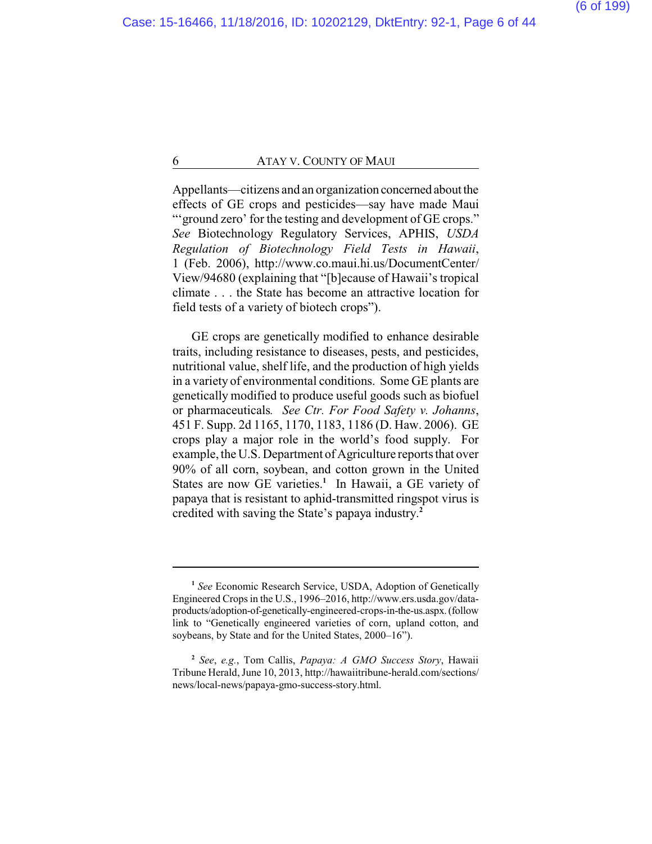Appellants—citizens and an organization concerned about the effects of GE crops and pesticides—say have made Maui "'ground zero' for the testing and development of GE crops." *See* Biotechnology Regulatory Services, APHIS, *USDA Regulation of Biotechnology Field Tests in Hawaii*, 1 (Feb. 2006), http://www.co.maui.hi.us/DocumentCenter/ View/94680 (explaining that "[b]ecause of Hawaii's tropical climate . . . the State has become an attractive location for field tests of a variety of biotech crops").

GE crops are genetically modified to enhance desirable traits, including resistance to diseases, pests, and pesticides, nutritional value, shelf life, and the production of high yields in a variety of environmental conditions. Some GE plants are genetically modified to produce useful goods such as biofuel or pharmaceuticals*. See Ctr. For Food Safety v. Johanns*, 451 F. Supp. 2d 1165, 1170, 1183, 1186 (D. Haw. 2006). GE crops play a major role in the world's food supply. For example, the U.S. Department of Agriculture reports that over 90% of all corn, soybean, and cotton grown in the United States are now GE varieties.<sup>1</sup> In Hawaii, a GE variety of papaya that is resistant to aphid-transmitted ringspot virus is credited with saving the State's papaya industry. **2**

**<sup>1</sup>** *See* Economic Research Service, USDA, Adoption of Genetically Engineered Crops in the U.S., 1996–2016, http://www.ers.usda.gov/dataproducts/adoption-of-genetically-engineered-crops-in-the-us.aspx.(follow link to "Genetically engineered varieties of corn, upland cotton, and soybeans, by State and for the United States, 2000–16").

**<sup>2</sup>** *See*, *e.g.*, Tom Callis, *Papaya: A GMO Success Story*, Hawaii Tribune Herald, June 10, 2013, http://hawaiitribune-herald.com/sections/ news/local-news/papaya-gmo-success-story.html.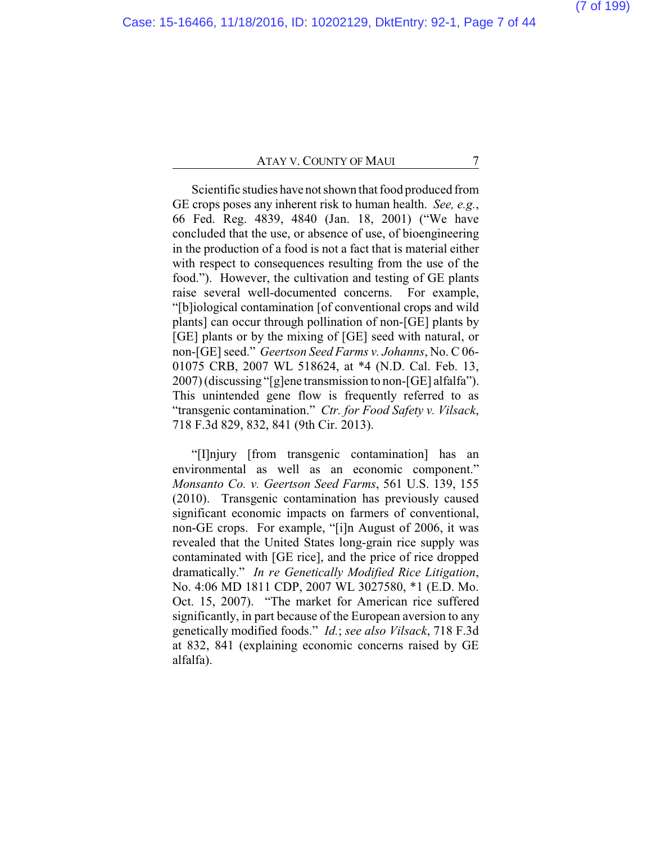Scientific studies have not shown that food produced from GE crops poses any inherent risk to human health. *See, e.g.*, 66 Fed. Reg. 4839, 4840 (Jan. 18, 2001) ("We have concluded that the use, or absence of use, of bioengineering in the production of a food is not a fact that is material either with respect to consequences resulting from the use of the food."). However, the cultivation and testing of GE plants raise several well-documented concerns. For example, "[b]iological contamination [of conventional crops and wild plants] can occur through pollination of non-[GE] plants by [GE] plants or by the mixing of [GE] seed with natural, or non-[GE] seed." *Geertson Seed Farms v. Johanns*, No. C 06- 01075 CRB, 2007 WL 518624, at \*4 (N.D. Cal. Feb. 13, 2007) (discussing "[g]ene transmission to non-[GE] alfalfa"). This unintended gene flow is frequently referred to as "transgenic contamination." *Ctr. for Food Safety v. Vilsack*, 718 F.3d 829, 832, 841 (9th Cir. 2013).

"[I]njury [from transgenic contamination] has an environmental as well as an economic component." *Monsanto Co. v. Geertson Seed Farms*, 561 U.S. 139, 155 (2010). Transgenic contamination has previously caused significant economic impacts on farmers of conventional, non-GE crops. For example, "[i]n August of 2006, it was revealed that the United States long-grain rice supply was contaminated with [GE rice], and the price of rice dropped dramatically." *In re Genetically Modified Rice Litigation*, No. 4:06 MD 1811 CDP, 2007 WL 3027580, \*1 (E.D. Mo. Oct. 15, 2007). "The market for American rice suffered significantly, in part because of the European aversion to any genetically modified foods." *Id.*; *see also Vilsack*, 718 F.3d at 832, 841 (explaining economic concerns raised by GE alfalfa).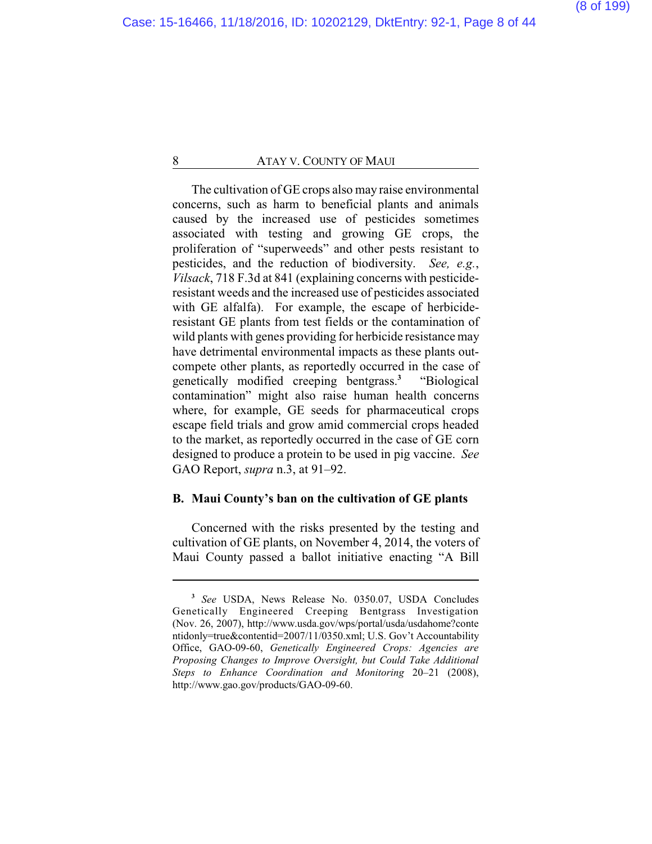The cultivation of GE crops also may raise environmental concerns, such as harm to beneficial plants and animals caused by the increased use of pesticides sometimes associated with testing and growing GE crops, the proliferation of "superweeds" and other pests resistant to pesticides, and the reduction of biodiversity. *See, e.g.*, *Vilsack*, 718 F.3d at 841 (explaining concerns with pesticideresistant weeds and the increased use of pesticides associated with GE alfalfa). For example, the escape of herbicideresistant GE plants from test fields or the contamination of wild plants with genes providing for herbicide resistance may have detrimental environmental impacts as these plants outcompete other plants, as reportedly occurred in the case of genetically modified creeping bentgrass.**<sup>3</sup>** "Biological contamination" might also raise human health concerns where, for example, GE seeds for pharmaceutical crops escape field trials and grow amid commercial crops headed to the market, as reportedly occurred in the case of GE corn designed to produce a protein to be used in pig vaccine. *See* GAO Report, *supra* n.3, at 91–92.

### **B. Maui County's ban on the cultivation of GE plants**

Concerned with the risks presented by the testing and cultivation of GE plants, on November 4, 2014, the voters of Maui County passed a ballot initiative enacting "A Bill

**<sup>3</sup>** *See* USDA, News Release No. 0350.07, USDA Concludes Genetically Engineered Creeping Bentgrass Investigation (Nov. 26, 2007), http://www.usda.gov/wps/portal/usda/usdahome?conte ntidonly=true&contentid=2007/11/0350.xml; U.S. Gov't Accountability Office, GAO-09-60, *Genetically Engineered Crops: Agencies are Proposing Changes to Improve Oversight, but Could Take Additional Steps to Enhance Coordination and Monitoring* 20–21 (2008), http://www.gao.gov/products/GAO-09-60.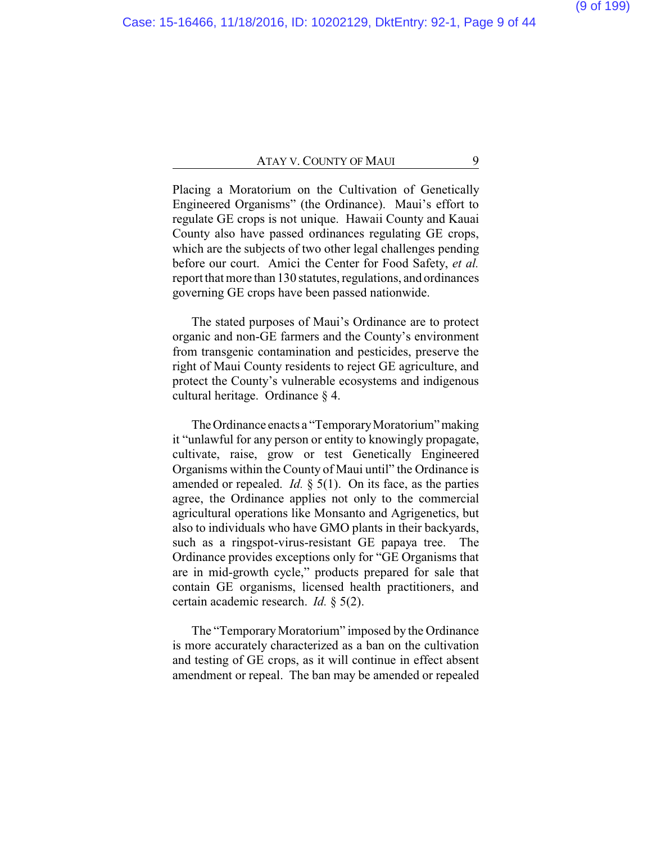Placing a Moratorium on the Cultivation of Genetically Engineered Organisms" (the Ordinance). Maui's effort to regulate GE crops is not unique. Hawaii County and Kauai County also have passed ordinances regulating GE crops, which are the subjects of two other legal challenges pending before our court. Amici the Center for Food Safety, *et al.* report that more than 130 statutes, regulations, and ordinances governing GE crops have been passed nationwide.

The stated purposes of Maui's Ordinance are to protect organic and non-GE farmers and the County's environment from transgenic contamination and pesticides, preserve the right of Maui County residents to reject GE agriculture, and protect the County's vulnerable ecosystems and indigenous cultural heritage. Ordinance § 4.

The Ordinance enacts a "Temporary Moratorium" making it "unlawful for any person or entity to knowingly propagate, cultivate, raise, grow or test Genetically Engineered Organisms within the County of Maui until" the Ordinance is amended or repealed. *Id.*  $\S$  5(1). On its face, as the parties agree, the Ordinance applies not only to the commercial agricultural operations like Monsanto and Agrigenetics, but also to individuals who have GMO plants in their backyards, such as a ringspot-virus-resistant GE papaya tree. The Ordinance provides exceptions only for "GE Organisms that are in mid-growth cycle," products prepared for sale that contain GE organisms, licensed health practitioners, and certain academic research. *Id.* § 5(2).

The "Temporary Moratorium" imposed by the Ordinance is more accurately characterized as a ban on the cultivation and testing of GE crops, as it will continue in effect absent amendment or repeal. The ban may be amended or repealed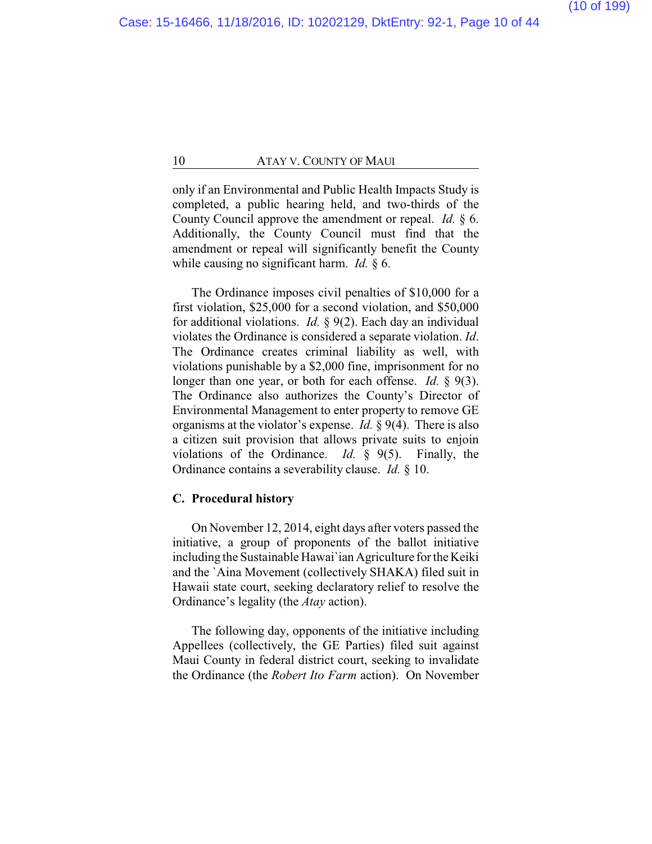only if an Environmental and Public Health Impacts Study is completed, a public hearing held, and two-thirds of the County Council approve the amendment or repeal. *Id.* § 6. Additionally, the County Council must find that the amendment or repeal will significantly benefit the County while causing no significant harm. *Id.* § 6.

The Ordinance imposes civil penalties of \$10,000 for a first violation, \$25,000 for a second violation, and \$50,000 for additional violations. *Id.* § 9(2). Each day an individual violates the Ordinance is considered a separate violation. *Id*. The Ordinance creates criminal liability as well, with violations punishable by a \$2,000 fine, imprisonment for no longer than one year, or both for each offense. *Id.* § 9(3). The Ordinance also authorizes the County's Director of Environmental Management to enter property to remove GE organisms at the violator's expense. *Id.* § 9(4). There is also a citizen suit provision that allows private suits to enjoin violations of the Ordinance. *Id.* § 9(5). Finally, the Ordinance contains a severability clause. *Id.* § 10.

#### **C. Procedural history**

On November 12, 2014, eight days after voters passed the initiative, a group of proponents of the ballot initiative including the Sustainable Hawai`ian Agriculture for the Keiki and the `Aina Movement (collectively SHAKA) filed suit in Hawaii state court, seeking declaratory relief to resolve the Ordinance's legality (the *Atay* action).

The following day, opponents of the initiative including Appellees (collectively, the GE Parties) filed suit against Maui County in federal district court, seeking to invalidate the Ordinance (the *Robert Ito Farm* action). On November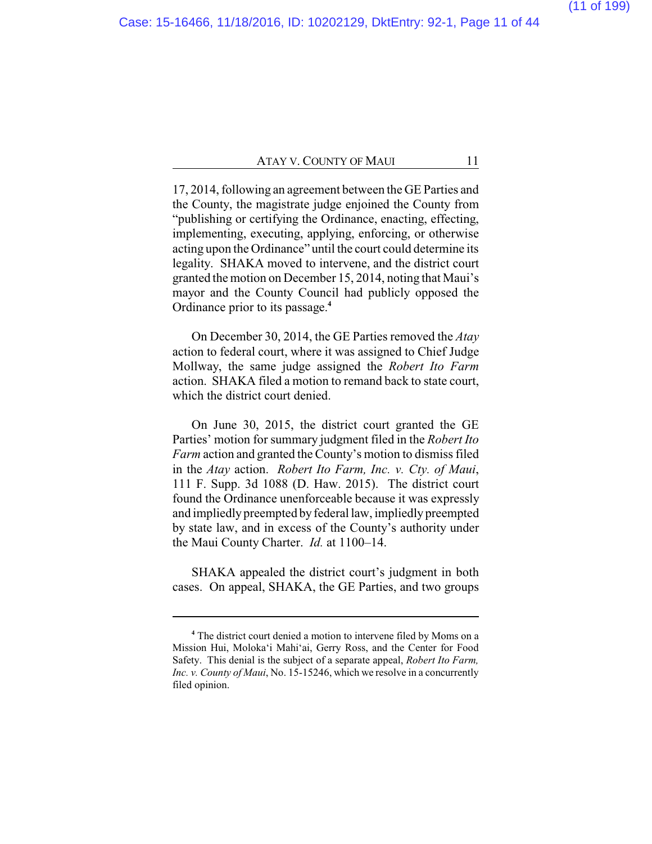17, 2014, following an agreement between the GE Parties and the County, the magistrate judge enjoined the County from "publishing or certifying the Ordinance, enacting, effecting, implementing, executing, applying, enforcing, or otherwise acting upon the Ordinance" until the court could determine its legality. SHAKA moved to intervene, and the district court granted the motion on December 15, 2014, noting that Maui's mayor and the County Council had publicly opposed the Ordinance prior to its passage.**<sup>4</sup>**

On December 30, 2014, the GE Parties removed the *Atay* action to federal court, where it was assigned to Chief Judge Mollway, the same judge assigned the *Robert Ito Farm* action. SHAKA filed a motion to remand back to state court, which the district court denied.

On June 30, 2015, the district court granted the GE Parties' motion for summary judgment filed in the *Robert Ito Farm* action and granted the County's motion to dismiss filed in the *Atay* action. *Robert Ito Farm, Inc. v. Cty. of Maui*, 111 F. Supp. 3d 1088 (D. Haw. 2015). The district court found the Ordinance unenforceable because it was expressly and impliedly preempted by federal law, impliedly preempted by state law, and in excess of the County's authority under the Maui County Charter. *Id.* at 1100–14.

SHAKA appealed the district court's judgment in both cases. On appeal, SHAKA, the GE Parties, and two groups

**<sup>4</sup>** The district court denied a motion to intervene filed by Moms on a Mission Hui, Moloka'i Mahi'ai, Gerry Ross, and the Center for Food Safety. This denial is the subject of a separate appeal, *Robert Ito Farm, Inc. v. County of Maui*, No. 15-15246, which we resolve in a concurrently filed opinion.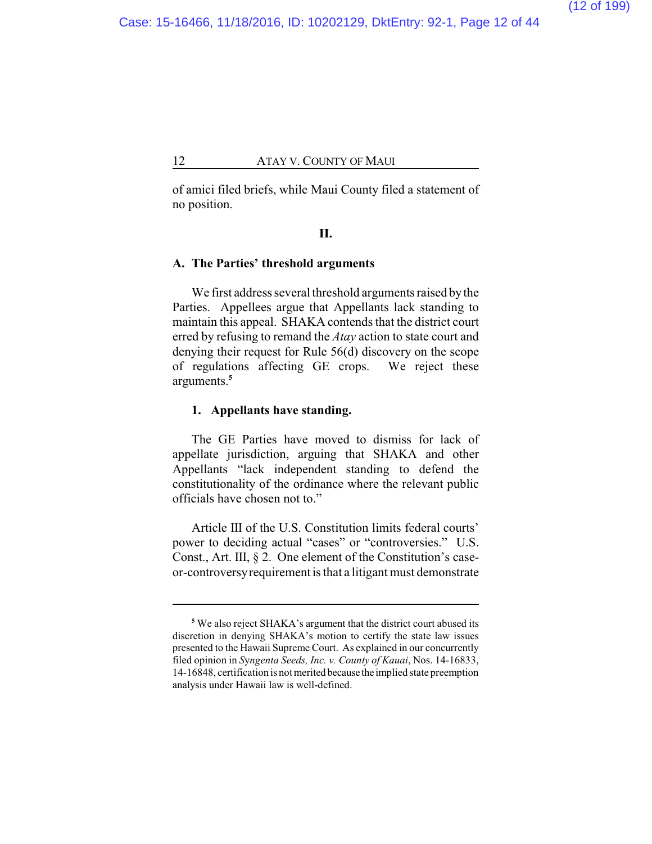of amici filed briefs, while Maui County filed a statement of no position.

#### **II.**

#### **A. The Parties' threshold arguments**

We first address several threshold arguments raised bythe Parties. Appellees argue that Appellants lack standing to maintain this appeal. SHAKA contends that the district court erred by refusing to remand the *Atay* action to state court and denying their request for Rule 56(d) discovery on the scope of regulations affecting GE crops. We reject these arguments.**<sup>5</sup>**

#### **1. Appellants have standing.**

The GE Parties have moved to dismiss for lack of appellate jurisdiction, arguing that SHAKA and other Appellants "lack independent standing to defend the constitutionality of the ordinance where the relevant public officials have chosen not to."

Article III of the U.S. Constitution limits federal courts' power to deciding actual "cases" or "controversies." U.S. Const., Art. III, § 2. One element of the Constitution's caseor-controversyrequirement is that a litigant must demonstrate

**<sup>5</sup>** We also reject SHAKA's argument that the district court abused its discretion in denying SHAKA's motion to certify the state law issues presented to the Hawaii Supreme Court. As explained in our concurrently filed opinion in *S*y*ngenta Seeds, Inc. v. County of Kauai*, Nos. 14-16833, 14-16848, certification is not merited because the implied state preemption analysis under Hawaii law is well-defined.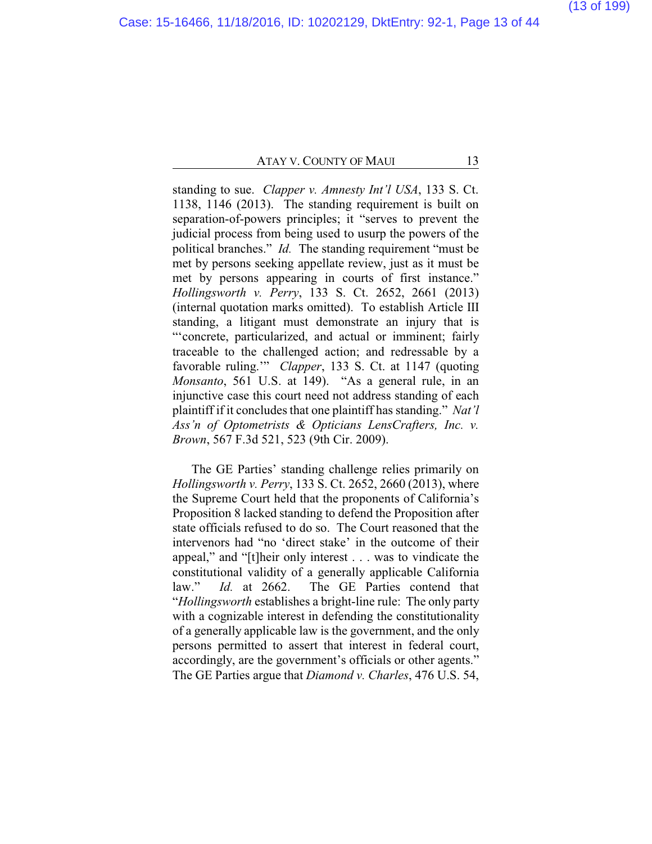standing to sue. *Clapper v. Amnesty Int'l USA*, 133 S. Ct. 1138, 1146 (2013). The standing requirement is built on separation-of-powers principles; it "serves to prevent the judicial process from being used to usurp the powers of the political branches." *Id.* The standing requirement "must be met by persons seeking appellate review, just as it must be met by persons appearing in courts of first instance." *Hollingsworth v. Perry*, 133 S. Ct. 2652, 2661 (2013) (internal quotation marks omitted). To establish Article III standing, a litigant must demonstrate an injury that is "'concrete, particularized, and actual or imminent; fairly traceable to the challenged action; and redressable by a favorable ruling.'" *Clapper*, 133 S. Ct. at 1147 (quoting *Monsanto*, 561 U.S. at 149). "As a general rule, in an injunctive case this court need not address standing of each plaintiff if it concludes that one plaintiff has standing." *Nat'l Ass'n of Optometrists & Opticians LensCrafters, Inc. v. Brown*, 567 F.3d 521, 523 (9th Cir. 2009).

The GE Parties' standing challenge relies primarily on *Hollingsworth v. Perry*, 133 S. Ct. 2652, 2660 (2013), where the Supreme Court held that the proponents of California's Proposition 8 lacked standing to defend the Proposition after state officials refused to do so. The Court reasoned that the intervenors had "no 'direct stake' in the outcome of their appeal," and "[t]heir only interest . . . was to vindicate the constitutional validity of a generally applicable California law." *Id.* at 2662. The GE Parties contend that "*Hollingsworth* establishes a bright-line rule: The only party with a cognizable interest in defending the constitutionality of a generally applicable law is the government, and the only persons permitted to assert that interest in federal court, accordingly, are the government's officials or other agents." The GE Parties argue that *Diamond v. Charles*, 476 U.S. 54,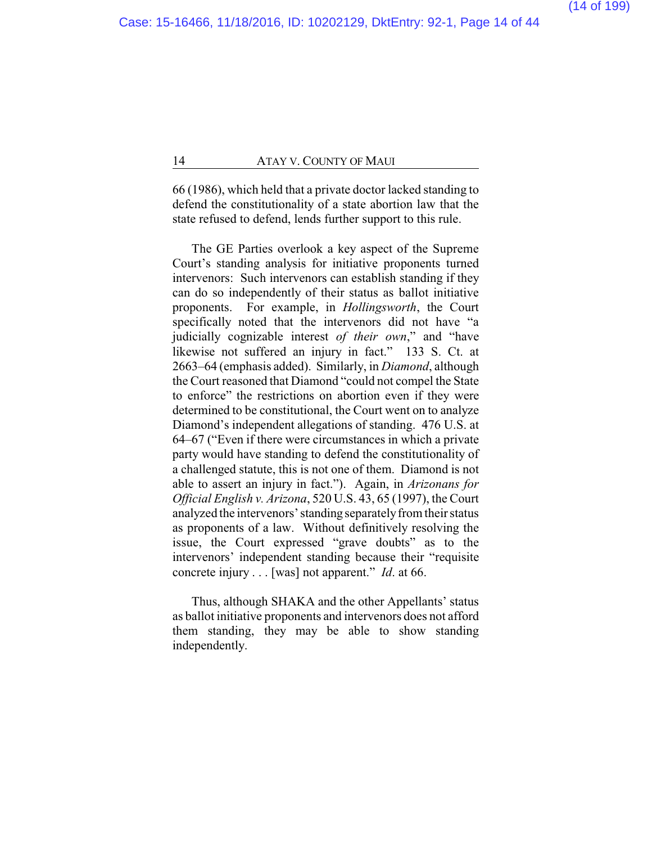66 (1986), which held that a private doctor lacked standing to defend the constitutionality of a state abortion law that the state refused to defend, lends further support to this rule.

The GE Parties overlook a key aspect of the Supreme Court's standing analysis for initiative proponents turned intervenors: Such intervenors can establish standing if they can do so independently of their status as ballot initiative proponents. For example, in *Hollingsworth*, the Court specifically noted that the intervenors did not have "a judicially cognizable interest *of their own*," and "have likewise not suffered an injury in fact." 133 S. Ct. at 2663–64 (emphasis added). Similarly, in *Diamond*, although the Court reasoned that Diamond "could not compel the State to enforce" the restrictions on abortion even if they were determined to be constitutional, the Court went on to analyze Diamond's independent allegations of standing. 476 U.S. at 64–67 ("Even if there were circumstances in which a private party would have standing to defend the constitutionality of a challenged statute, this is not one of them. Diamond is not able to assert an injury in fact."). Again, in *Arizonans for Official English v. Arizona*, 520 U.S. 43, 65 (1997), the Court analyzed the intervenors' standing separately from their status as proponents of a law. Without definitively resolving the issue, the Court expressed "grave doubts" as to the intervenors' independent standing because their "requisite concrete injury . . . [was] not apparent." *Id*. at 66.

Thus, although SHAKA and the other Appellants' status as ballot initiative proponents and intervenors does not afford them standing, they may be able to show standing independently.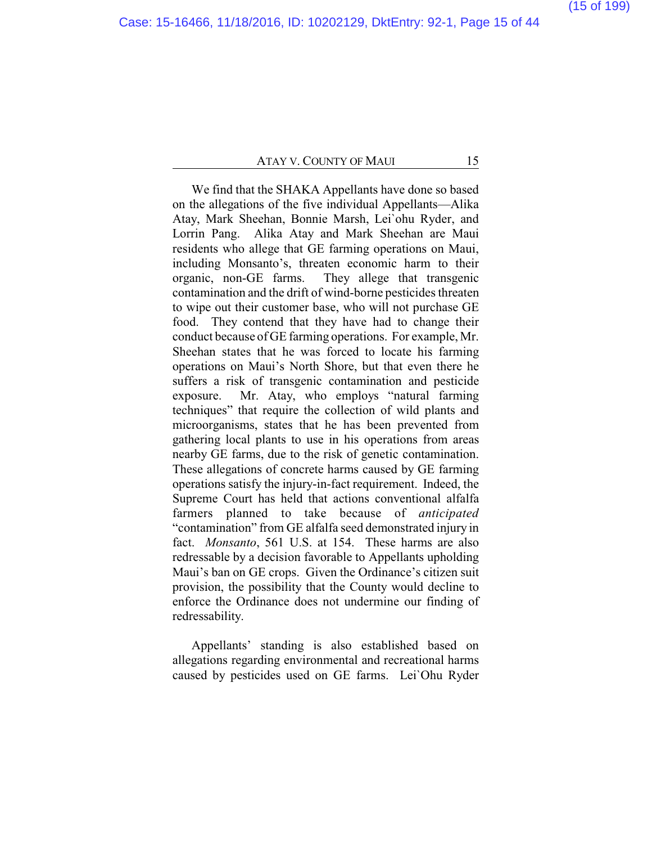We find that the SHAKA Appellants have done so based on the allegations of the five individual Appellants—Alika Atay, Mark Sheehan, Bonnie Marsh, Lei`ohu Ryder, and Lorrin Pang. Alika Atay and Mark Sheehan are Maui residents who allege that GE farming operations on Maui, including Monsanto's, threaten economic harm to their organic, non-GE farms. They allege that transgenic contamination and the drift of wind-borne pesticides threaten to wipe out their customer base, who will not purchase GE food. They contend that they have had to change their conduct because of GE farming operations. For example, Mr. Sheehan states that he was forced to locate his farming operations on Maui's North Shore, but that even there he suffers a risk of transgenic contamination and pesticide exposure. Mr. Atay, who employs "natural farming techniques" that require the collection of wild plants and microorganisms, states that he has been prevented from gathering local plants to use in his operations from areas nearby GE farms, due to the risk of genetic contamination. These allegations of concrete harms caused by GE farming operations satisfy the injury-in-fact requirement. Indeed, the Supreme Court has held that actions conventional alfalfa farmers planned to take because of *anticipated* "contamination" from GE alfalfa seed demonstrated injury in fact. *Monsanto*, 561 U.S. at 154. These harms are also redressable by a decision favorable to Appellants upholding Maui's ban on GE crops. Given the Ordinance's citizen suit provision, the possibility that the County would decline to enforce the Ordinance does not undermine our finding of redressability.

Appellants' standing is also established based on allegations regarding environmental and recreational harms caused by pesticides used on GE farms. Lei`Ohu Ryder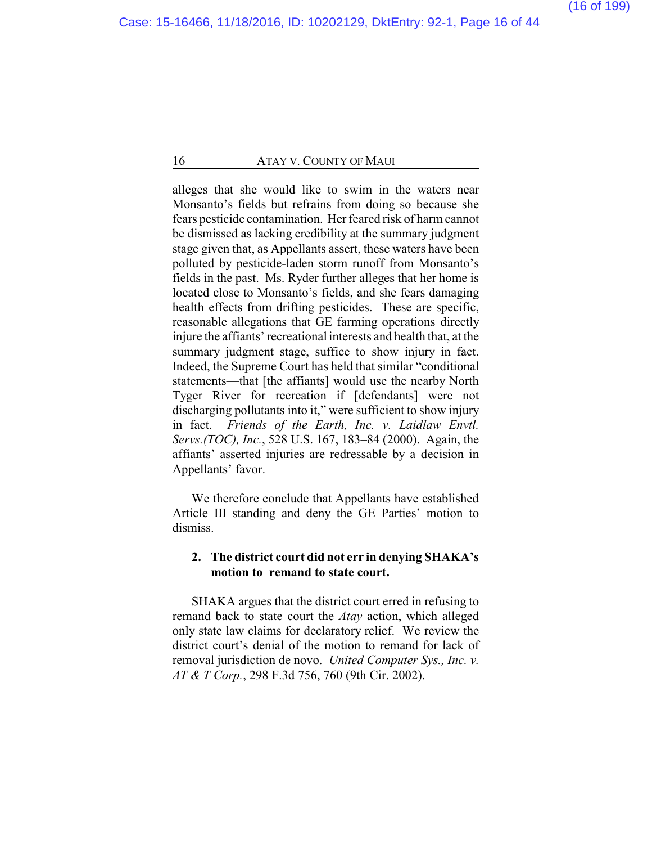alleges that she would like to swim in the waters near Monsanto's fields but refrains from doing so because she fears pesticide contamination. Her feared risk of harm cannot be dismissed as lacking credibility at the summary judgment stage given that, as Appellants assert, these waters have been polluted by pesticide-laden storm runoff from Monsanto's fields in the past. Ms. Ryder further alleges that her home is located close to Monsanto's fields, and she fears damaging health effects from drifting pesticides. These are specific, reasonable allegations that GE farming operations directly injure the affiants' recreational interests and health that, at the summary judgment stage, suffice to show injury in fact. Indeed, the Supreme Court has held that similar "conditional statements—that [the affiants] would use the nearby North Tyger River for recreation if [defendants] were not discharging pollutants into it," were sufficient to show injury in fact. *Friends of the Earth, Inc. v. Laidlaw Envtl. Servs.(TOC), Inc.*, 528 U.S. 167, 183–84 (2000). Again, the affiants' asserted injuries are redressable by a decision in Appellants' favor.

We therefore conclude that Appellants have established Article III standing and deny the GE Parties' motion to dismiss.

### **2. The district court did not err in denying SHAKA's motion to remand to state court.**

SHAKA argues that the district court erred in refusing to remand back to state court the *Atay* action, which alleged only state law claims for declaratory relief. We review the district court's denial of the motion to remand for lack of removal jurisdiction de novo. *United Computer Sys., Inc. v. AT & T Corp.*, 298 F.3d 756, 760 (9th Cir. 2002).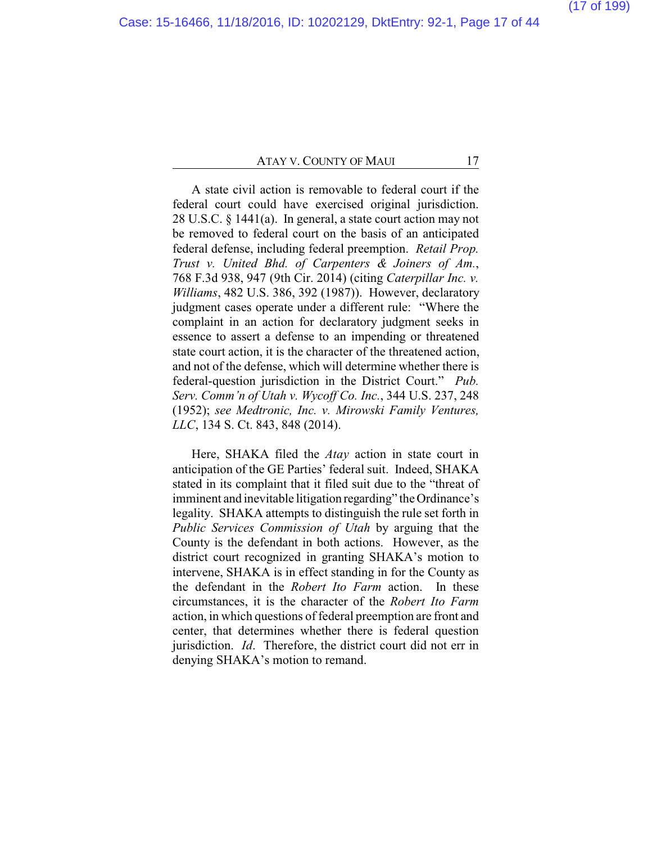A state civil action is removable to federal court if the federal court could have exercised original jurisdiction. 28 U.S.C. § 1441(a). In general, a state court action may not be removed to federal court on the basis of an anticipated federal defense, including federal preemption. *Retail Prop. Trust v. United Bhd. of Carpenters & Joiners of Am.*, 768 F.3d 938, 947 (9th Cir. 2014) (citing *Caterpillar Inc. v. Williams*, 482 U.S. 386, 392 (1987)). However, declaratory judgment cases operate under a different rule: "Where the complaint in an action for declaratory judgment seeks in essence to assert a defense to an impending or threatened state court action, it is the character of the threatened action, and not of the defense, which will determine whether there is federal-question jurisdiction in the District Court." *Pub. Serv. Comm'n of Utah v. Wycoff Co. Inc.*, 344 U.S. 237, 248 (1952); *see Medtronic, Inc. v. Mirowski Family Ventures, LLC*, 134 S. Ct. 843, 848 (2014).

Here, SHAKA filed the *Atay* action in state court in anticipation of the GE Parties' federal suit. Indeed, SHAKA stated in its complaint that it filed suit due to the "threat of imminent and inevitable litigation regarding" the Ordinance's legality. SHAKA attempts to distinguish the rule set forth in *Public Services Commission of Utah* by arguing that the County is the defendant in both actions. However, as the district court recognized in granting SHAKA's motion to intervene, SHAKA is in effect standing in for the County as the defendant in the *Robert Ito Farm* action. In these circumstances, it is the character of the *Robert Ito Farm* action, in which questions of federal preemption are front and center, that determines whether there is federal question jurisdiction. *Id*. Therefore, the district court did not err in denying SHAKA's motion to remand.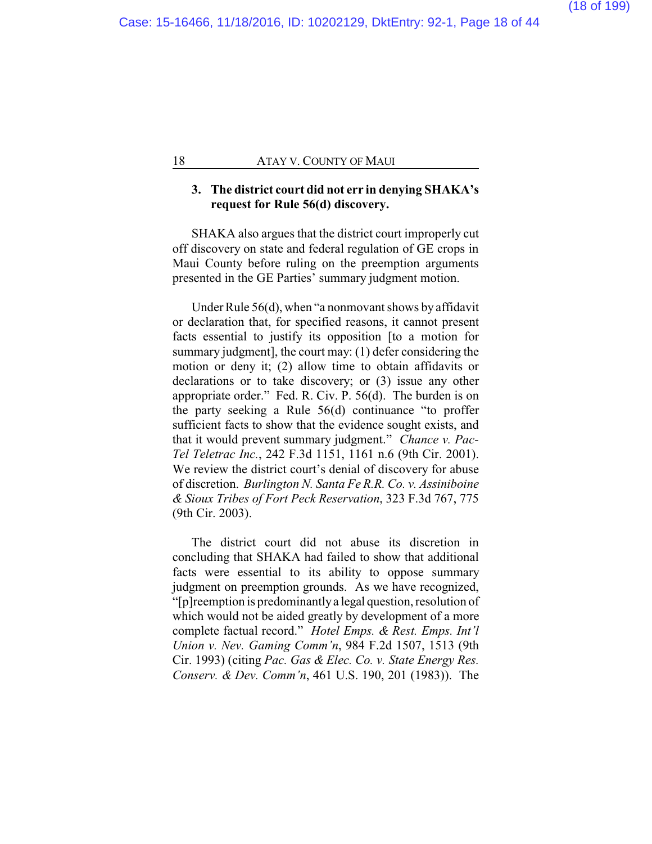### **3. The district court did not err in denying SHAKA's request for Rule 56(d) discovery.**

SHAKA also argues that the district court improperly cut off discovery on state and federal regulation of GE crops in Maui County before ruling on the preemption arguments presented in the GE Parties' summary judgment motion.

Under Rule 56(d), when "a nonmovant shows by affidavit or declaration that, for specified reasons, it cannot present facts essential to justify its opposition [to a motion for summary judgment], the court may: (1) defer considering the motion or deny it; (2) allow time to obtain affidavits or declarations or to take discovery; or (3) issue any other appropriate order." Fed. R. Civ. P. 56(d). The burden is on the party seeking a Rule 56(d) continuance "to proffer sufficient facts to show that the evidence sought exists, and that it would prevent summary judgment." *Chance v. Pac-Tel Teletrac Inc.*, 242 F.3d 1151, 1161 n.6 (9th Cir. 2001). We review the district court's denial of discovery for abuse of discretion. *Burlington N. Santa Fe R.R. Co. v. Assiniboine & Sioux Tribes of Fort Peck Reservation*, 323 F.3d 767, 775 (9th Cir. 2003).

The district court did not abuse its discretion in concluding that SHAKA had failed to show that additional facts were essential to its ability to oppose summary judgment on preemption grounds. As we have recognized, "[p]reemption is predominantlya legal question, resolution of which would not be aided greatly by development of a more complete factual record." *Hotel Emps. & Rest. Emps. Int'l Union v. Nev. Gaming Comm'n*, 984 F.2d 1507, 1513 (9th Cir. 1993) (citing *Pac. Gas & Elec. Co. v. State Energy Res. Conserv. & Dev. Comm'n*, 461 U.S. 190, 201 (1983)). The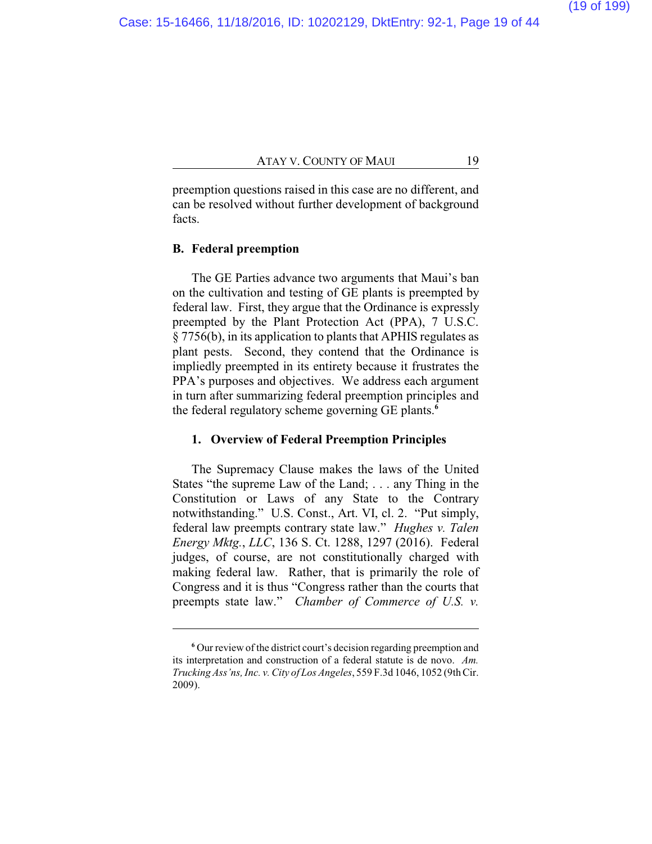preemption questions raised in this case are no different, and can be resolved without further development of background facts.

## **B. Federal preemption**

The GE Parties advance two arguments that Maui's ban on the cultivation and testing of GE plants is preempted by federal law. First, they argue that the Ordinance is expressly preempted by the Plant Protection Act (PPA), 7 U.S.C. § 7756(b), in its application to plants that APHIS regulates as plant pests. Second, they contend that the Ordinance is impliedly preempted in its entirety because it frustrates the PPA's purposes and objectives. We address each argument in turn after summarizing federal preemption principles and the federal regulatory scheme governing GE plants.**<sup>6</sup>**

## **1. Overview of Federal Preemption Principles**

The Supremacy Clause makes the laws of the United States "the supreme Law of the Land; . . . any Thing in the Constitution or Laws of any State to the Contrary notwithstanding." U.S. Const., Art. VI, cl. 2. "Put simply, federal law preempts contrary state law." *Hughes v. Talen Energy Mktg.*, *LLC*, 136 S. Ct. 1288, 1297 (2016). Federal judges, of course, are not constitutionally charged with making federal law. Rather, that is primarily the role of Congress and it is thus "Congress rather than the courts that preempts state law." *Chamber of Commerce of U.S. v.*

**<sup>6</sup>** Our review of the district court's decision regarding preemption and its interpretation and construction of a federal statute is de novo. *Am. Trucking Ass'ns, Inc. v. City of Los Angeles*, 559 F.3d 1046, 1052 (9thCir. 2009).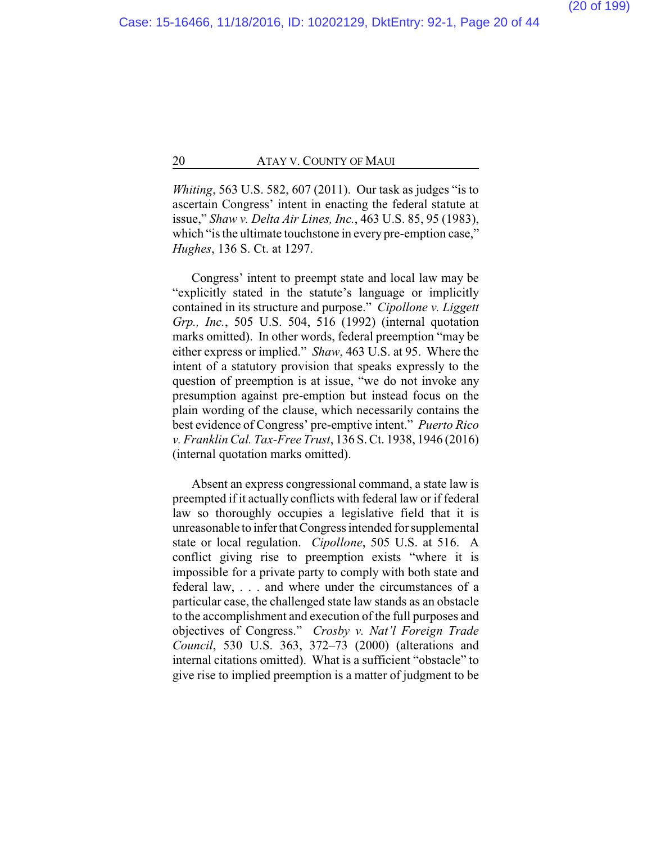*Whiting*, 563 U.S. 582, 607 (2011). Our task as judges "is to ascertain Congress' intent in enacting the federal statute at issue," *Shaw v. Delta Air Lines, Inc.*, 463 U.S. 85, 95 (1983), which "is the ultimate touchstone in every pre-emption case," *Hughes*, 136 S. Ct. at 1297.

Congress' intent to preempt state and local law may be "explicitly stated in the statute's language or implicitly contained in its structure and purpose." *Cipollone v. Liggett Grp., Inc.*, 505 U.S. 504, 516 (1992) (internal quotation marks omitted). In other words, federal preemption "may be either express or implied." *Shaw*, 463 U.S. at 95. Where the intent of a statutory provision that speaks expressly to the question of preemption is at issue, "we do not invoke any presumption against pre-emption but instead focus on the plain wording of the clause, which necessarily contains the best evidence of Congress' pre-emptive intent." *Puerto Rico v. Franklin Cal. Tax-Free Trust*, 136 S. Ct. 1938, 1946 (2016) (internal quotation marks omitted).

Absent an express congressional command, a state law is preempted if it actually conflicts with federal law or if federal law so thoroughly occupies a legislative field that it is unreasonable to inferthatCongress intended for supplemental state or local regulation. *Cipollone*, 505 U.S. at 516. A conflict giving rise to preemption exists "where it is impossible for a private party to comply with both state and federal law, . . . and where under the circumstances of a particular case, the challenged state law stands as an obstacle to the accomplishment and execution of the full purposes and objectives of Congress." *Crosby v. Nat'l Foreign Trade Council*, 530 U.S. 363, 372–73 (2000) (alterations and internal citations omitted). What is a sufficient "obstacle" to give rise to implied preemption is a matter of judgment to be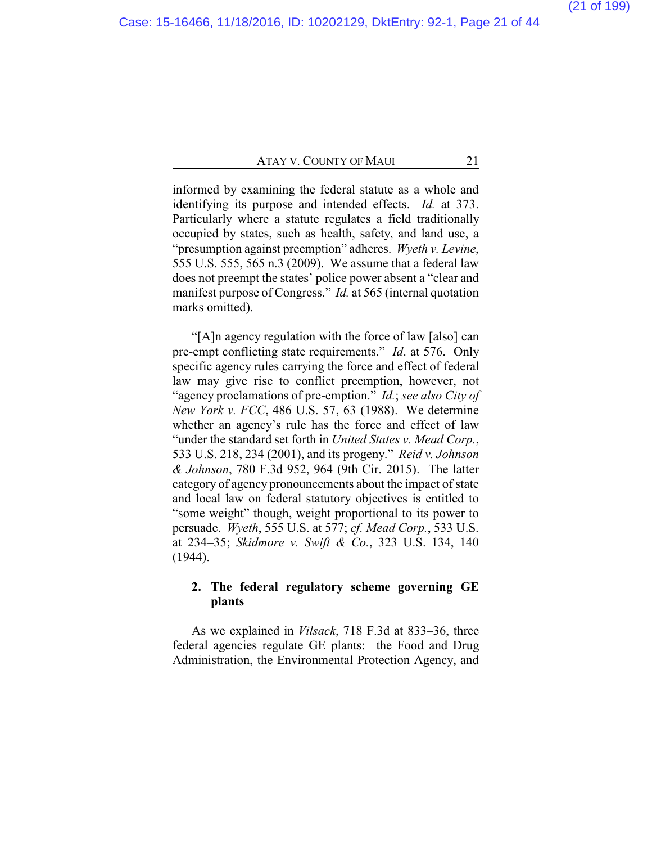informed by examining the federal statute as a whole and identifying its purpose and intended effects. *Id.* at 373. Particularly where a statute regulates a field traditionally occupied by states, such as health, safety, and land use, a "presumption against preemption" adheres. *Wyeth v. Levine*, 555 U.S. 555, 565 n.3 (2009). We assume that a federal law does not preempt the states' police power absent a "clear and manifest purpose of Congress." *Id.* at 565 (internal quotation marks omitted).

"[A]n agency regulation with the force of law [also] can pre-empt conflicting state requirements." *Id*. at 576. Only specific agency rules carrying the force and effect of federal law may give rise to conflict preemption, however, not "agency proclamations of pre-emption." *Id.*; *see also City of New York v. FCC*, 486 U.S. 57, 63 (1988). We determine whether an agency's rule has the force and effect of law "under the standard set forth in *United States v. Mead Corp.*, 533 U.S. 218, 234 (2001), and its progeny." *Reid v. Johnson & Johnson*, 780 F.3d 952, 964 (9th Cir. 2015). The latter category of agency pronouncements about the impact of state and local law on federal statutory objectives is entitled to "some weight" though, weight proportional to its power to persuade. *Wyeth*, 555 U.S. at 577; *cf. Mead Corp.*, 533 U.S. at 234–35; *Skidmore v. Swift & Co.*, 323 U.S. 134, 140 (1944).

## **2. The federal regulatory scheme governing GE plants**

As we explained in *Vilsack*, 718 F.3d at 833–36, three federal agencies regulate GE plants: the Food and Drug Administration, the Environmental Protection Agency, and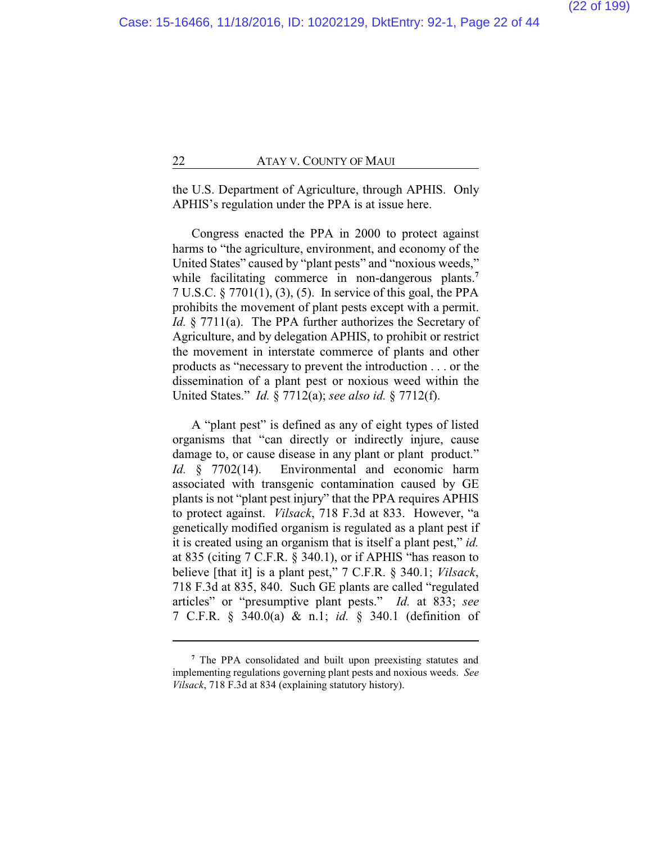the U.S. Department of Agriculture, through APHIS. Only APHIS's regulation under the PPA is at issue here.

Congress enacted the PPA in 2000 to protect against harms to "the agriculture, environment, and economy of the United States" caused by "plant pests" and "noxious weeds," while facilitating commerce in non-dangerous plants.<sup>7</sup> 7 U.S.C. § 7701(1), (3), (5). In service of this goal, the PPA prohibits the movement of plant pests except with a permit. *Id.* § 7711(a). The PPA further authorizes the Secretary of Agriculture, and by delegation APHIS, to prohibit or restrict the movement in interstate commerce of plants and other products as "necessary to prevent the introduction . . . or the dissemination of a plant pest or noxious weed within the United States." *Id.* § 7712(a); *see also id.* § 7712(f).

A "plant pest" is defined as any of eight types of listed organisms that "can directly or indirectly injure, cause damage to, or cause disease in any plant or plant product." *Id.* § 7702(14). Environmental and economic harm associated with transgenic contamination caused by GE plants is not "plant pest injury" that the PPA requires APHIS to protect against. *Vilsack*, 718 F.3d at 833. However, "a genetically modified organism is regulated as a plant pest if it is created using an organism that is itself a plant pest," *id.* at 835 (citing  $7 \overline{C}$ .F.R.  $\overline{8}$  340.1), or if APHIS "has reason to believe [that it] is a plant pest," 7 C.F.R. § 340.1; *Vilsack*, 718 F.3d at 835, 840. Such GE plants are called "regulated articles" or "presumptive plant pests." *Id.* at 833; *see* 7 C.F.R. § 340.0(a) & n.1; *id.* § 340.1 (definition of

**<sup>7</sup>** The PPA consolidated and built upon preexisting statutes and implementing regulations governing plant pests and noxious weeds. *See Vilsack*, 718 F.3d at 834 (explaining statutory history).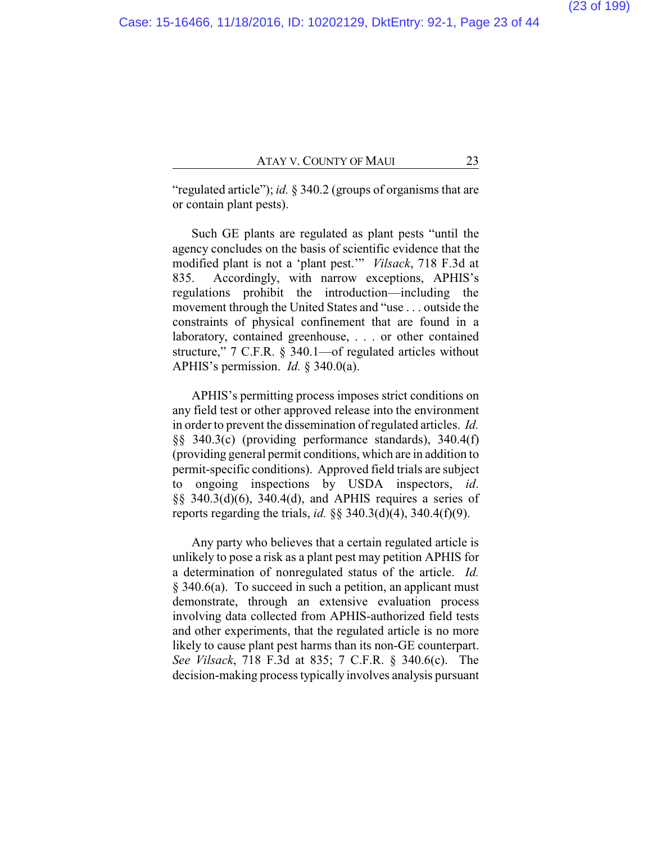"regulated article"); *id.* § 340.2 (groups of organisms that are or contain plant pests).

Such GE plants are regulated as plant pests "until the agency concludes on the basis of scientific evidence that the modified plant is not a 'plant pest.'" *Vilsack*, 718 F.3d at 835. Accordingly, with narrow exceptions, APHIS's regulations prohibit the introduction—including the movement through the United States and "use . . . outside the constraints of physical confinement that are found in a laboratory, contained greenhouse, . . . or other contained structure," 7 C.F.R. § 340.1—of regulated articles without APHIS's permission. *Id.* § 340.0(a).

APHIS's permitting process imposes strict conditions on any field test or other approved release into the environment in order to prevent the dissemination of regulated articles. *Id.* §§ 340.3(c) (providing performance standards), 340.4(f) (providing general permit conditions, which are in addition to permit-specific conditions). Approved field trials are subject to ongoing inspections by USDA inspectors, *id*. §§ 340.3(d)(6), 340.4(d), and APHIS requires a series of reports regarding the trials, *id.* §§ 340.3(d)(4), 340.4(f)(9).

Any party who believes that a certain regulated article is unlikely to pose a risk as a plant pest may petition APHIS for a determination of nonregulated status of the article. *Id.*  $§$  340.6(a). To succeed in such a petition, an applicant must demonstrate, through an extensive evaluation process involving data collected from APHIS-authorized field tests and other experiments, that the regulated article is no more likely to cause plant pest harms than its non-GE counterpart. *See Vilsack*, 718 F.3d at 835; 7 C.F.R. § 340.6(c). The decision-making process typically involves analysis pursuant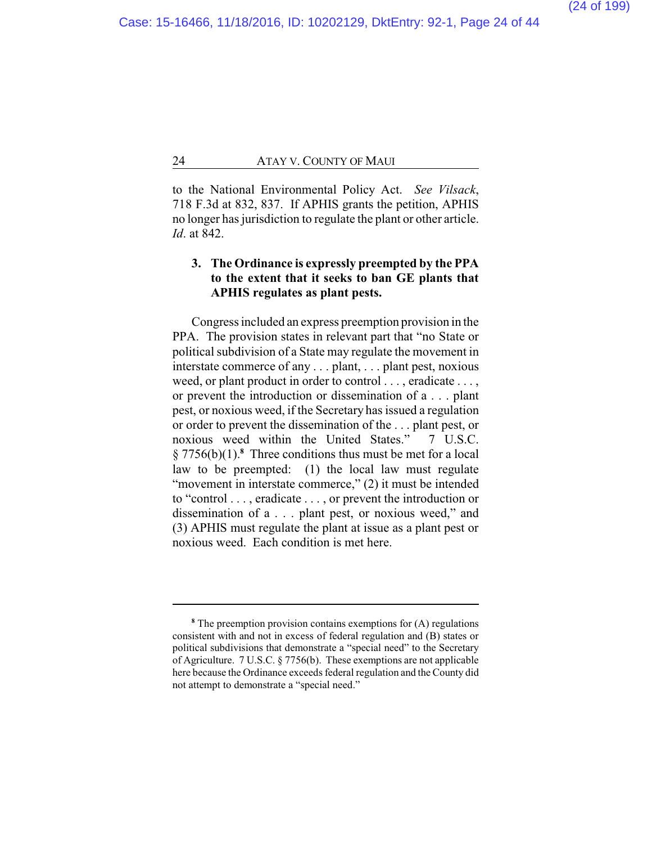to the National Environmental Policy Act. *See Vilsack*, 718 F.3d at 832, 837. If APHIS grants the petition, APHIS no longer has jurisdiction to regulate the plant or other article. *Id*. at 842.

## **3. The Ordinance is expressly preempted by the PPA to the extent that it seeks to ban GE plants that APHIS regulates as plant pests.**

Congress included an express preemption provision in the PPA. The provision states in relevant part that "no State or political subdivision of a State may regulate the movement in interstate commerce of any . . . plant, . . . plant pest, noxious weed, or plant product in order to control . . . , eradicate . . . , or prevent the introduction or dissemination of a . . . plant pest, or noxious weed, if the Secretary has issued a regulation or order to prevent the dissemination of the ... plant pest, or<br>noxious weed within the United States  $\frac{1}{2}$  USC noxious weed within the United States." § 7756(b)(1).**<sup>8</sup>** Three conditions thus must be met for a local law to be preempted: (1) the local law must regulate "movement in interstate commerce," (2) it must be intended to "control . . . , eradicate . . . , or prevent the introduction or dissemination of a . . . plant pest, or noxious weed," and (3) APHIS must regulate the plant at issue as a plant pest or noxious weed. Each condition is met here.

**<sup>8</sup>** The preemption provision contains exemptions for (A) regulations consistent with and not in excess of federal regulation and (B) states or political subdivisions that demonstrate a "special need" to the Secretary of Agriculture. 7 U.S.C. § 7756(b). These exemptions are not applicable here because the Ordinance exceeds federal regulation and the County did not attempt to demonstrate a "special need."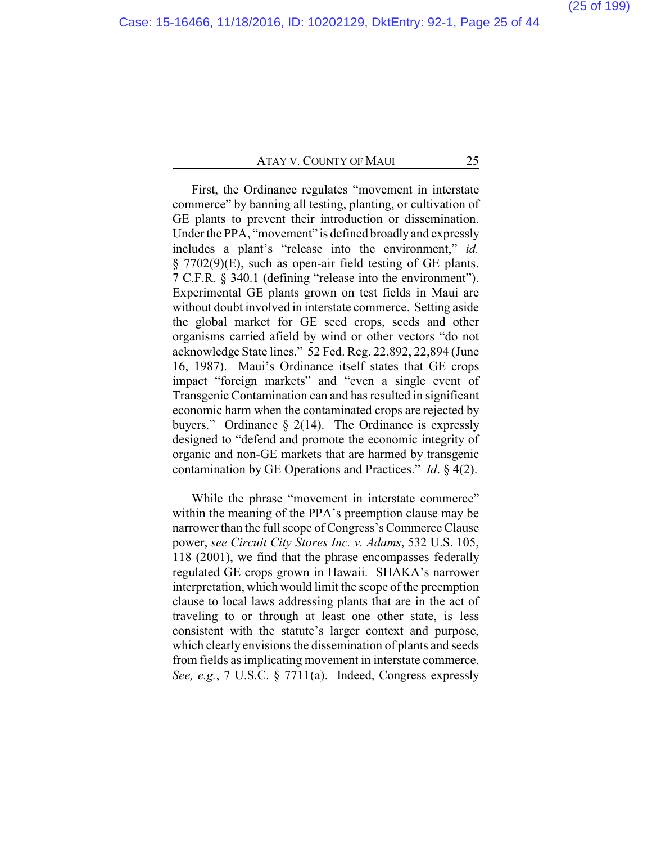First, the Ordinance regulates "movement in interstate commerce" by banning all testing, planting, or cultivation of GE plants to prevent their introduction or dissemination. Under the PPA, "movement" is defined broadlyand expressly includes a plant's "release into the environment," *id.* § 7702(9)(E), such as open-air field testing of GE plants. 7 C.F.R. § 340.1 (defining "release into the environment"). Experimental GE plants grown on test fields in Maui are without doubt involved in interstate commerce. Setting aside the global market for GE seed crops, seeds and other organisms carried afield by wind or other vectors "do not acknowledge State lines." 52 Fed. Reg. 22,892, 22,894 (June 16, 1987). Maui's Ordinance itself states that GE crops impact "foreign markets" and "even a single event of Transgenic Contamination can and has resulted in significant economic harm when the contaminated crops are rejected by buyers." Ordinance  $\S$  2(14). The Ordinance is expressly designed to "defend and promote the economic integrity of organic and non-GE markets that are harmed by transgenic contamination by GE Operations and Practices." *Id*. § 4(2).

While the phrase "movement in interstate commerce" within the meaning of the PPA's preemption clause may be narrower than the full scope of Congress's Commerce Clause power, *see Circuit City Stores Inc. v. Adams*, 532 U.S. 105, 118 (2001), we find that the phrase encompasses federally regulated GE crops grown in Hawaii. SHAKA's narrower interpretation, which would limit the scope of the preemption clause to local laws addressing plants that are in the act of traveling to or through at least one other state, is less consistent with the statute's larger context and purpose, which clearly envisions the dissemination of plants and seeds from fields as implicating movement in interstate commerce. *See, e.g.*, 7 U.S.C. § 7711(a). Indeed, Congress expressly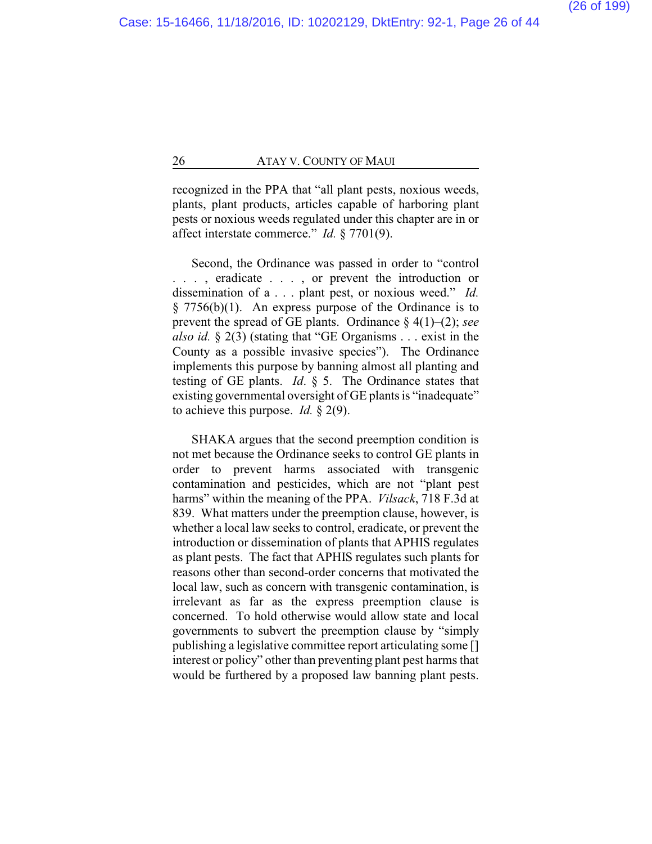recognized in the PPA that "all plant pests, noxious weeds, plants, plant products, articles capable of harboring plant pests or noxious weeds regulated under this chapter are in or affect interstate commerce." *Id.* § 7701(9).

Second, the Ordinance was passed in order to "control . . . , eradicate . . . , or prevent the introduction or dissemination of a . . . plant pest, or noxious weed." *Id.*  $§ 7756(b)(1)$ . An express purpose of the Ordinance is to prevent the spread of GE plants. Ordinance § 4(1)–(2); *see also id.* § 2(3) (stating that "GE Organisms . . . exist in the County as a possible invasive species"). The Ordinance implements this purpose by banning almost all planting and testing of GE plants. *Id*. § 5. The Ordinance states that existing governmental oversight of GE plants is "inadequate" to achieve this purpose. *Id.* § 2(9).

SHAKA argues that the second preemption condition is not met because the Ordinance seeks to control GE plants in order to prevent harms associated with transgenic contamination and pesticides, which are not "plant pest harms" within the meaning of the PPA. *Vilsack*, 718 F.3d at 839. What matters under the preemption clause, however, is whether a local law seeks to control, eradicate, or prevent the introduction or dissemination of plants that APHIS regulates as plant pests. The fact that APHIS regulates such plants for reasons other than second-order concerns that motivated the local law, such as concern with transgenic contamination, is irrelevant as far as the express preemption clause is concerned. To hold otherwise would allow state and local governments to subvert the preemption clause by "simply publishing a legislative committee report articulating some [] interest or policy" other than preventing plant pest harms that would be furthered by a proposed law banning plant pests.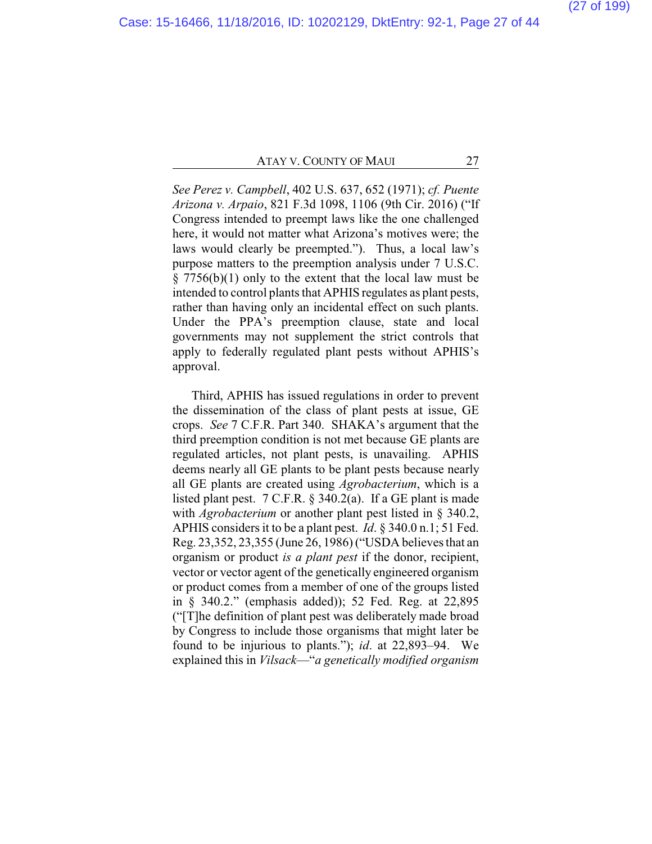*See Perez v. Campbell*, 402 U.S. 637, 652 (1971); *cf. Puente Arizona v. Arpaio*, 821 F.3d 1098, 1106 (9th Cir. 2016) ("If Congress intended to preempt laws like the one challenged here, it would not matter what Arizona's motives were; the laws would clearly be preempted."). Thus, a local law's purpose matters to the preemption analysis under 7 U.S.C. § 7756(b)(1) only to the extent that the local law must be intended to control plants that APHIS regulates as plant pests, rather than having only an incidental effect on such plants. Under the PPA's preemption clause, state and local governments may not supplement the strict controls that apply to federally regulated plant pests without APHIS's approval.

Third, APHIS has issued regulations in order to prevent the dissemination of the class of plant pests at issue, GE crops. *See* 7 C.F.R. Part 340. SHAKA's argument that the third preemption condition is not met because GE plants are regulated articles, not plant pests, is unavailing. APHIS deems nearly all GE plants to be plant pests because nearly all GE plants are created using *Agrobacterium*, which is a listed plant pest. 7 C.F.R. § 340.2(a). If a GE plant is made with *Agrobacterium* or another plant pest listed in § 340.2, APHIS considers it to be a plant pest. *Id*. § 340.0 n.1; 51 Fed. Reg. 23,352, 23,355 (June 26, 1986) ("USDA believes that an organism or product *is a plant pest* if the donor, recipient, vector or vector agent of the genetically engineered organism or product comes from a member of one of the groups listed in § 340.2." (emphasis added)); 52 Fed. Reg. at 22,895 ("[T]he definition of plant pest was deliberately made broad by Congress to include those organisms that might later be found to be injurious to plants."); *id*. at 22,893–94. We explained this in *Vilsack*—"*a genetically modified organism*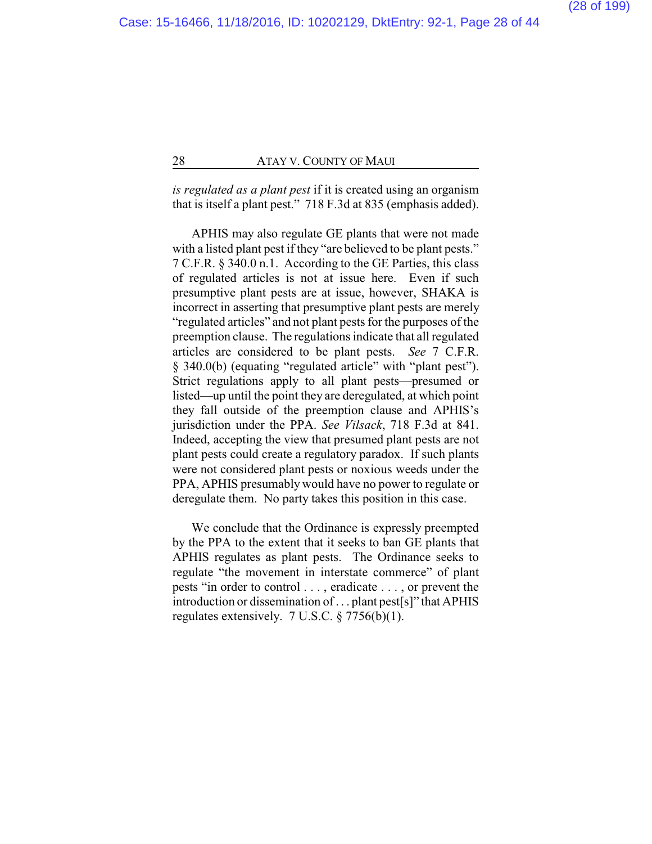*is regulated as a plant pest* if it is created using an organism that is itself a plant pest." 718 F.3d at 835 (emphasis added).

APHIS may also regulate GE plants that were not made with a listed plant pest if they "are believed to be plant pests." 7 C.F.R. § 340.0 n.1. According to the GE Parties, this class of regulated articles is not at issue here. Even if such presumptive plant pests are at issue, however, SHAKA is incorrect in asserting that presumptive plant pests are merely "regulated articles" and not plant pests for the purposes of the preemption clause. The regulations indicate that all regulated articles are considered to be plant pests. *See* 7 C.F.R. § 340.0(b) (equating "regulated article" with "plant pest"). Strict regulations apply to all plant pests—presumed or listed—up until the point they are deregulated, at which point they fall outside of the preemption clause and APHIS's jurisdiction under the PPA. *See Vilsack*, 718 F.3d at 841. Indeed, accepting the view that presumed plant pests are not plant pests could create a regulatory paradox. If such plants were not considered plant pests or noxious weeds under the PPA, APHIS presumably would have no power to regulate or deregulate them. No party takes this position in this case.

We conclude that the Ordinance is expressly preempted by the PPA to the extent that it seeks to ban GE plants that APHIS regulates as plant pests. The Ordinance seeks to regulate "the movement in interstate commerce" of plant pests "in order to control . . . , eradicate . . . , or prevent the introduction or dissemination of . . . plant pest[s]" that APHIS regulates extensively. 7 U.S.C. § 7756(b)(1).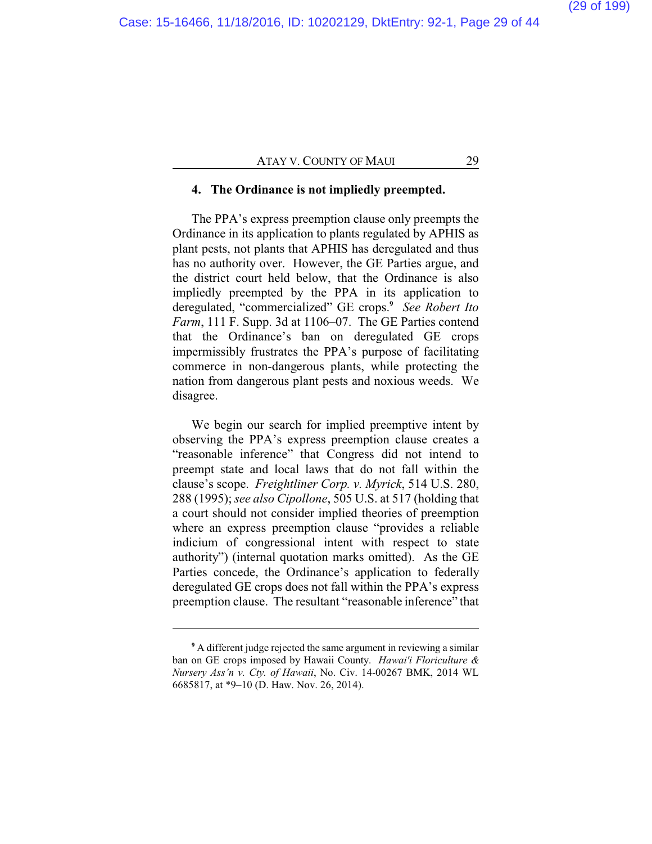#### **4. The Ordinance is not impliedly preempted.**

The PPA's express preemption clause only preempts the Ordinance in its application to plants regulated by APHIS as plant pests, not plants that APHIS has deregulated and thus has no authority over. However, the GE Parties argue, and the district court held below, that the Ordinance is also impliedly preempted by the PPA in its application to deregulated, "commercialized" GE crops.**<sup>9</sup>** *See Robert Ito Farm*, 111 F. Supp. 3d at 1106–07. The GE Parties contend that the Ordinance's ban on deregulated GE crops impermissibly frustrates the PPA's purpose of facilitating commerce in non-dangerous plants, while protecting the nation from dangerous plant pests and noxious weeds. We disagree.

We begin our search for implied preemptive intent by observing the PPA's express preemption clause creates a "reasonable inference" that Congress did not intend to preempt state and local laws that do not fall within the clause's scope. *Freightliner Corp. v. Myrick*, 514 U.S. 280, 288 (1995); *see also Cipollone*, 505 U.S. at 517 (holding that a court should not consider implied theories of preemption where an express preemption clause "provides a reliable indicium of congressional intent with respect to state authority") (internal quotation marks omitted). As the GE Parties concede, the Ordinance's application to federally deregulated GE crops does not fall within the PPA's express preemption clause. The resultant "reasonable inference" that

**<sup>9</sup>** A different judge rejected the same argument in reviewing a similar ban on GE crops imposed by Hawaii County. *Hawai'i Floriculture & Nursery Ass'n v. Cty. of Hawaii*, No. Civ. 14-00267 BMK, 2014 WL 6685817, at \*9–10 (D. Haw. Nov. 26, 2014).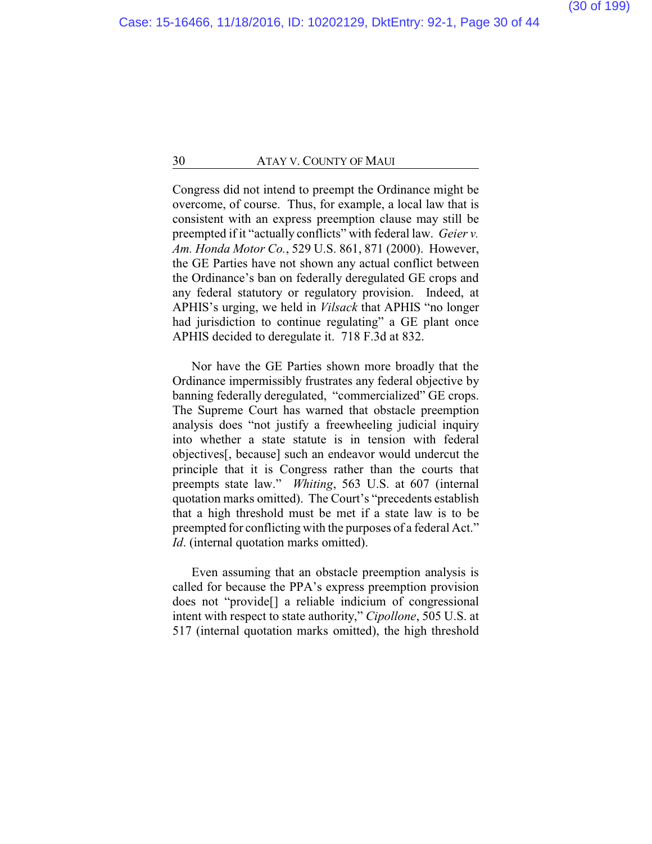Congress did not intend to preempt the Ordinance might be overcome, of course. Thus, for example, a local law that is consistent with an express preemption clause may still be preempted if it "actually conflicts" with federal law. *Geier v. Am. Honda Motor Co.*, 529 U.S. 861, 871 (2000). However, the GE Parties have not shown any actual conflict between the Ordinance's ban on federally deregulated GE crops and any federal statutory or regulatory provision. Indeed, at APHIS's urging, we held in *Vilsack* that APHIS "no longer had jurisdiction to continue regulating" a GE plant once APHIS decided to deregulate it. 718 F.3d at 832.

Nor have the GE Parties shown more broadly that the Ordinance impermissibly frustrates any federal objective by banning federally deregulated, "commercialized" GE crops. The Supreme Court has warned that obstacle preemption analysis does "not justify a freewheeling judicial inquiry into whether a state statute is in tension with federal objectives[, because] such an endeavor would undercut the principle that it is Congress rather than the courts that preempts state law." *Whiting*, 563 U.S. at 607 (internal quotation marks omitted). The Court's "precedents establish that a high threshold must be met if a state law is to be preempted for conflicting with the purposes of a federal Act." *Id.* (internal quotation marks omitted).

Even assuming that an obstacle preemption analysis is called for because the PPA's express preemption provision does not "provide[] a reliable indicium of congressional intent with respect to state authority," *Cipollone*, 505 U.S. at 517 (internal quotation marks omitted), the high threshold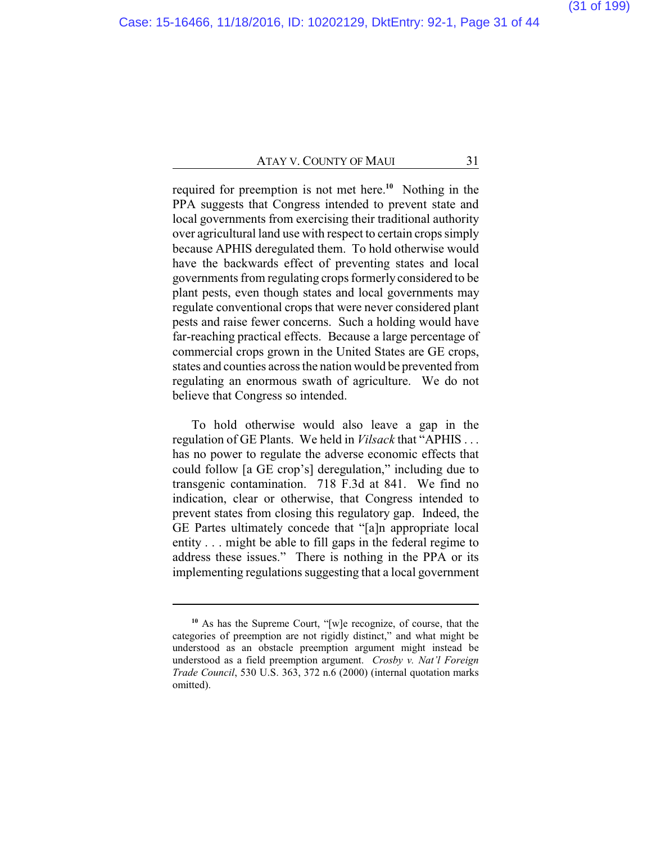required for preemption is not met here.**<sup>10</sup>** Nothing in the PPA suggests that Congress intended to prevent state and local governments from exercising their traditional authority over agricultural land use with respect to certain crops simply because APHIS deregulated them. To hold otherwise would have the backwards effect of preventing states and local governments from regulating crops formerly considered to be plant pests, even though states and local governments may regulate conventional crops that were never considered plant pests and raise fewer concerns. Such a holding would have far-reaching practical effects. Because a large percentage of commercial crops grown in the United States are GE crops, states and counties across the nation would be prevented from regulating an enormous swath of agriculture. We do not believe that Congress so intended.

To hold otherwise would also leave a gap in the regulation of GE Plants. We held in *Vilsack* that "APHIS . . . has no power to regulate the adverse economic effects that could follow [a GE crop's] deregulation," including due to transgenic contamination. 718 F.3d at 841. We find no indication, clear or otherwise, that Congress intended to prevent states from closing this regulatory gap. Indeed, the GE Partes ultimately concede that "[a]n appropriate local entity . . . might be able to fill gaps in the federal regime to address these issues." There is nothing in the PPA or its implementing regulations suggesting that a local government

**<sup>10</sup>** As has the Supreme Court, "[w]e recognize, of course, that the categories of preemption are not rigidly distinct," and what might be understood as an obstacle preemption argument might instead be understood as a field preemption argument. *Crosby v. Nat'l Foreign Trade Council*, 530 U.S. 363, 372 n.6 (2000) (internal quotation marks omitted).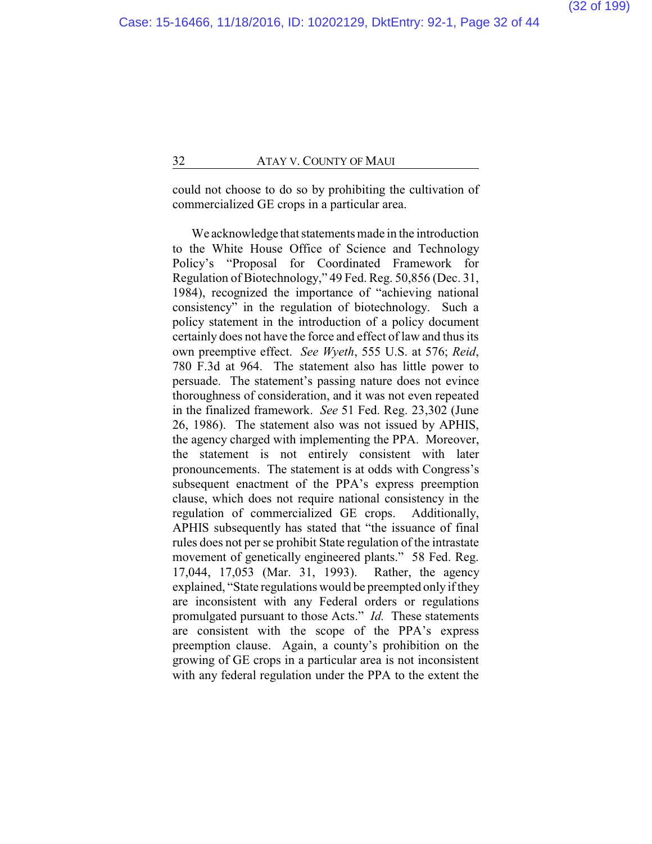could not choose to do so by prohibiting the cultivation of commercialized GE crops in a particular area.

We acknowledge that statements made in the introduction to the White House Office of Science and Technology Policy's "Proposal for Coordinated Framework for Regulation of Biotechnology," 49 Fed. Reg. 50,856 (Dec. 31, 1984), recognized the importance of "achieving national consistency" in the regulation of biotechnology. Such a policy statement in the introduction of a policy document certainly does not have the force and effect of law and thus its own preemptive effect. *See Wyeth*, 555 U.S. at 576; *Reid*, 780 F.3d at 964. The statement also has little power to persuade. The statement's passing nature does not evince thoroughness of consideration, and it was not even repeated in the finalized framework. *See* 51 Fed. Reg. 23,302 (June 26, 1986). The statement also was not issued by APHIS, the agency charged with implementing the PPA. Moreover, the statement is not entirely consistent with later pronouncements. The statement is at odds with Congress's subsequent enactment of the PPA's express preemption clause, which does not require national consistency in the regulation of commercialized GE crops. Additionally, APHIS subsequently has stated that "the issuance of final rules does not per se prohibit State regulation of the intrastate movement of genetically engineered plants." 58 Fed. Reg. 17,044, 17,053 (Mar. 31, 1993). Rather, the agency explained, "State regulations would be preempted only if they are inconsistent with any Federal orders or regulations promulgated pursuant to those Acts." *Id.* These statements are consistent with the scope of the PPA's express preemption clause. Again, a county's prohibition on the growing of GE crops in a particular area is not inconsistent with any federal regulation under the PPA to the extent the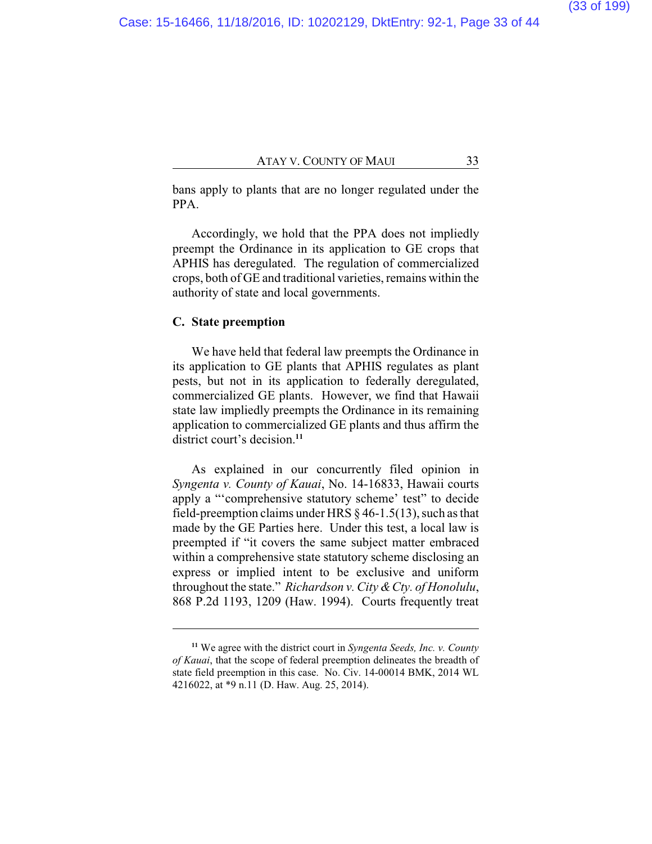bans apply to plants that are no longer regulated under the PPA.

Accordingly, we hold that the PPA does not impliedly preempt the Ordinance in its application to GE crops that APHIS has deregulated. The regulation of commercialized crops, both of GE and traditional varieties, remains within the authority of state and local governments.

#### **C. State preemption**

We have held that federal law preempts the Ordinance in its application to GE plants that APHIS regulates as plant pests, but not in its application to federally deregulated, commercialized GE plants. However, we find that Hawaii state law impliedly preempts the Ordinance in its remaining application to commercialized GE plants and thus affirm the district court's decision<sup>11</sup>

As explained in our concurrently filed opinion in *Syngenta v. County of Kauai*, No. 14-16833, Hawaii courts apply a "'comprehensive statutory scheme' test" to decide field-preemption claims under HRS § 46-1.5(13), such as that made by the GE Parties here. Under this test, a local law is preempted if "it covers the same subject matter embraced within a comprehensive state statutory scheme disclosing an express or implied intent to be exclusive and uniform throughout the state." *Richardson v. City & Cty. of Honolulu*, 868 P.2d 1193, 1209 (Haw. 1994). Courts frequently treat

**<sup>11</sup>** We agree with the district court in *Syngenta Seeds, Inc. v. County of Kauai*, that the scope of federal preemption delineates the breadth of state field preemption in this case. No. Civ. 14-00014 BMK, 2014 WL 4216022, at \*9 n.11 (D. Haw. Aug. 25, 2014).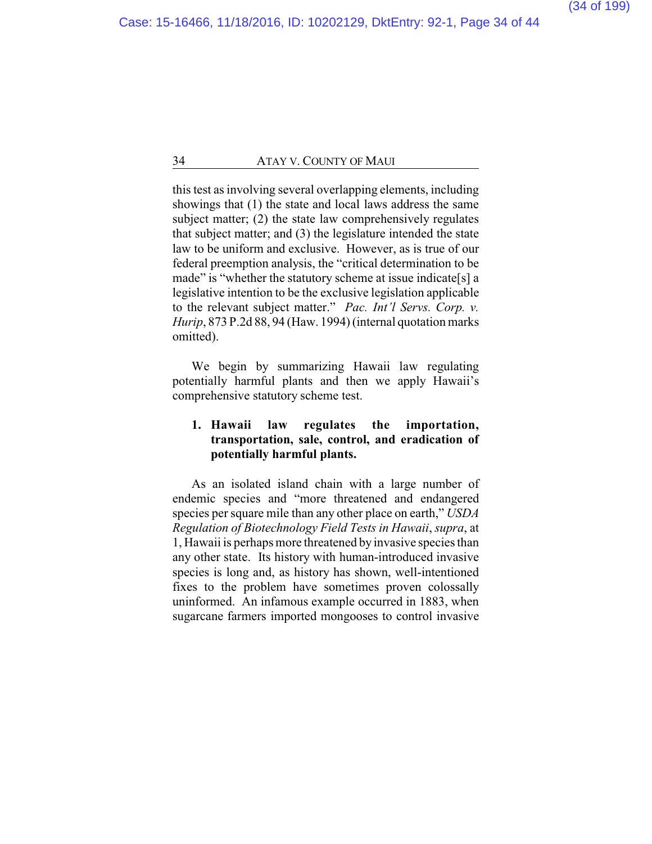this test as involving several overlapping elements, including showings that (1) the state and local laws address the same subject matter; (2) the state law comprehensively regulates that subject matter; and (3) the legislature intended the state law to be uniform and exclusive. However, as is true of our federal preemption analysis, the "critical determination to be made" is "whether the statutory scheme at issue indicate[s] a legislative intention to be the exclusive legislation applicable to the relevant subject matter." *Pac. Int'l Servs. Corp. v. Hurip*, 873 P.2d 88, 94 (Haw. 1994) (internal quotation marks omitted).

We begin by summarizing Hawaii law regulating potentially harmful plants and then we apply Hawaii's comprehensive statutory scheme test.

## **1. Hawaii law regulates the importation, transportation, sale, control, and eradication of potentially harmful plants.**

As an isolated island chain with a large number of endemic species and "more threatened and endangered species per square mile than any other place on earth," *USDA Regulation of Biotechnology Field Tests in Hawaii*, *supra*, at 1, Hawaii is perhaps more threatened by invasive species than any other state. Its history with human-introduced invasive species is long and, as history has shown, well-intentioned fixes to the problem have sometimes proven colossally uninformed. An infamous example occurred in 1883, when sugarcane farmers imported mongooses to control invasive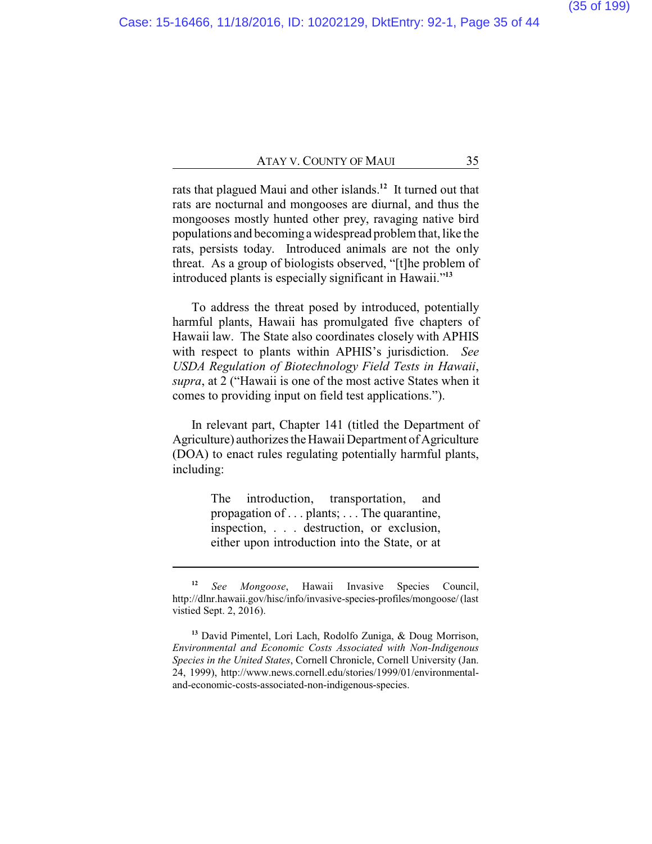rats that plagued Maui and other islands.**<sup>12</sup>** It turned out that rats are nocturnal and mongooses are diurnal, and thus the mongooses mostly hunted other prey, ravaging native bird populations and becoming a widespread problem that, like the rats, persists today. Introduced animals are not the only threat. As a group of biologists observed, "[t]he problem of introduced plants is especially significant in Hawaii."**<sup>13</sup>**

To address the threat posed by introduced, potentially harmful plants, Hawaii has promulgated five chapters of Hawaii law. The State also coordinates closely with APHIS with respect to plants within APHIS's jurisdiction. *See USDA Regulation of Biotechnology Field Tests in Hawaii*, *supra*, at 2 ("Hawaii is one of the most active States when it comes to providing input on field test applications.").

In relevant part, Chapter 141 (titled the Department of Agriculture) authorizes the Hawaii Department of Agriculture (DOA) to enact rules regulating potentially harmful plants, including:

> The introduction, transportation, and propagation of . . . plants; . . . The quarantine, inspection, . . . destruction, or exclusion, either upon introduction into the State, or at

**<sup>13</sup>** David Pimentel, Lori Lach, Rodolfo Zuniga, & Doug Morrison, *Environmental and Economic Costs Associated with Non-Indigenous Species in the United States*, Cornell Chronicle, Cornell University (Jan. 24, 1999), http://www.news.cornell.edu/stories/1999/01/environmentaland-economic-costs-associated-non-indigenous-species.

**<sup>12</sup>** *See Mongoose*, Hawaii Invasive Species Council, http://dlnr.hawaii.gov/hisc/info/invasive-species-profiles/mongoose/ (last vistied Sept. 2, 2016).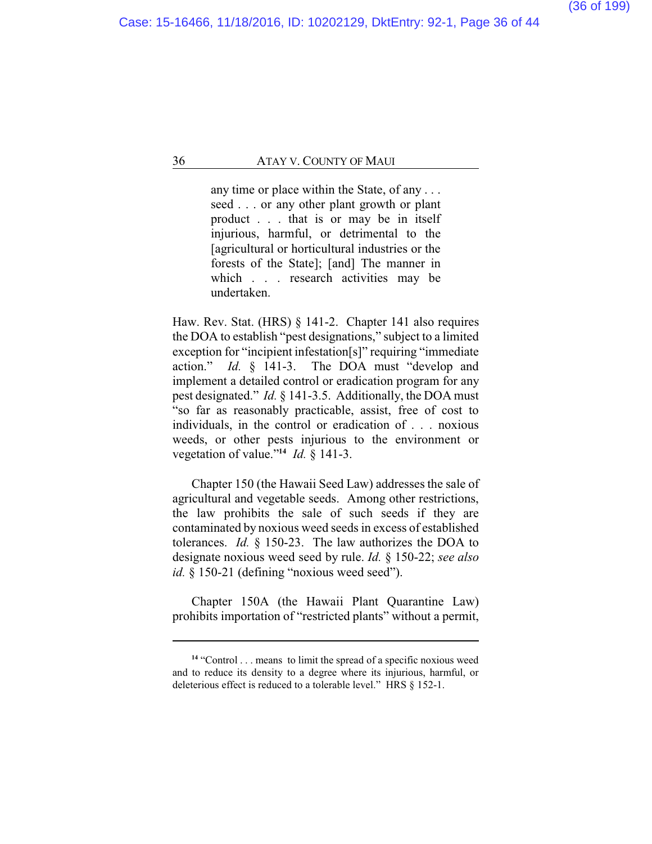any time or place within the State, of any . . . seed . . . or any other plant growth or plant product . . . that is or may be in itself injurious, harmful, or detrimental to the [agricultural or horticultural industries or the forests of the State]; [and] The manner in which . . . research activities may be undertaken.

Haw. Rev. Stat. (HRS) § 141-2. Chapter 141 also requires the DOA to establish "pest designations," subject to a limited exception for "incipient infestation[s]" requiring "immediate action." *Id.* § 141-3. The DOA must "develop and implement a detailed control or eradication program for any pest designated." *Id.* § 141-3.5. Additionally, the DOA must "so far as reasonably practicable, assist, free of cost to individuals, in the control or eradication of . . . noxious weeds, or other pests injurious to the environment or vegetation of value."**<sup>14</sup>** *Id.* § 141-3.

Chapter 150 (the Hawaii Seed Law) addresses the sale of agricultural and vegetable seeds. Among other restrictions, the law prohibits the sale of such seeds if they are contaminated by noxious weed seeds in excess of established tolerances. *Id.* § 150-23. The law authorizes the DOA to designate noxious weed seed by rule. *Id.* § 150-22; *see also* id. § 150-21 (defining "noxious weed seed").

Chapter 150A (the Hawaii Plant Quarantine Law) prohibits importation of "restricted plants" without a permit,

<sup>&</sup>lt;sup>14</sup> "Control . . . means to limit the spread of a specific noxious weed and to reduce its density to a degree where its injurious, harmful, or deleterious effect is reduced to a tolerable level." HRS § 152-1.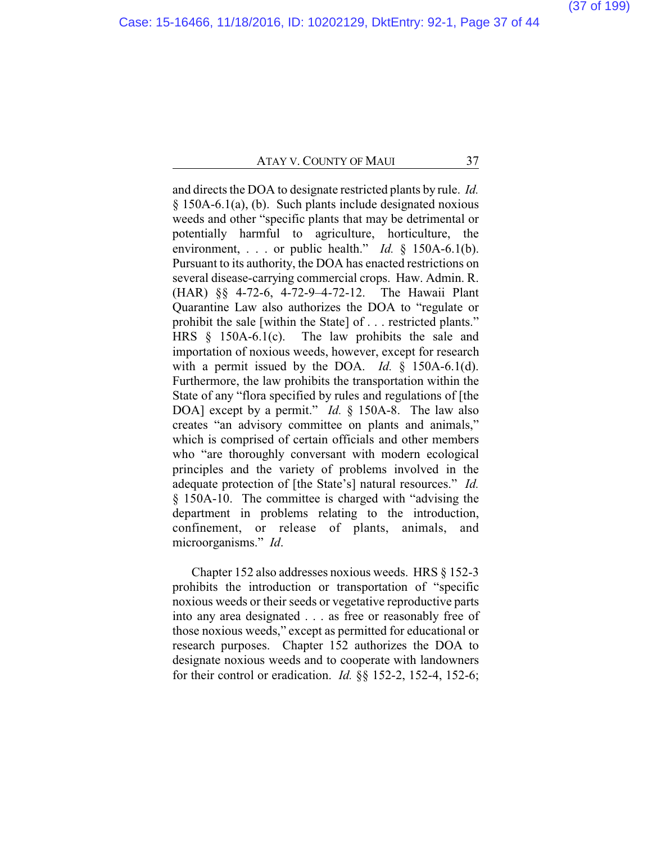and directs the DOA to designate restricted plants by rule. *Id.* § 150A-6.1(a), (b). Such plants include designated noxious weeds and other "specific plants that may be detrimental or potentially harmful to agriculture, horticulture, the environment, . . . or public health." *Id.* § 150A-6.1(b). Pursuant to its authority, the DOA has enacted restrictions on several disease-carrying commercial crops. Haw. Admin. R. (HAR) §§ 4-72-6, 4-72-9–4-72-12. The Hawaii Plant Quarantine Law also authorizes the DOA to "regulate or prohibit the sale [within the State] of . . . restricted plants." HRS § 150A-6.1(c). The law prohibits the sale and importation of noxious weeds, however, except for research with a permit issued by the DOA. *Id.*  $\hat{\S}$  150A-6.1(d). Furthermore, the law prohibits the transportation within the State of any "flora specified by rules and regulations of [the DOA] except by a permit." *Id.* § 150A-8. The law also creates "an advisory committee on plants and animals," which is comprised of certain officials and other members who "are thoroughly conversant with modern ecological principles and the variety of problems involved in the adequate protection of [the State's] natural resources." *Id.* § 150A-10. The committee is charged with "advising the department in problems relating to the introduction, confinement, or release of plants, animals, and microorganisms." *Id*.

Chapter 152 also addresses noxious weeds. HRS § 152-3 prohibits the introduction or transportation of "specific noxious weeds or their seeds or vegetative reproductive parts into any area designated . . . as free or reasonably free of those noxious weeds," except as permitted for educational or research purposes. Chapter 152 authorizes the DOA to designate noxious weeds and to cooperate with landowners for their control or eradication. *Id.* §§ 152-2, 152-4, 152-6;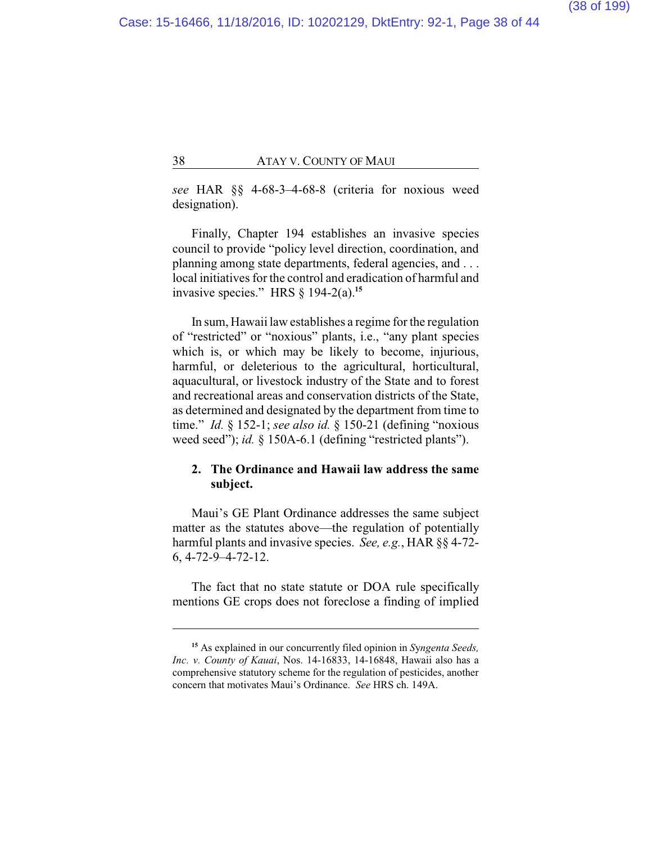*see* HAR §§ 4-68-3–4-68-8 (criteria for noxious weed designation).

Finally, Chapter 194 establishes an invasive species council to provide "policy level direction, coordination, and planning among state departments, federal agencies, and . . . local initiatives for the control and eradication of harmful and invasive species." HRS § 194-2(a).**<sup>15</sup>**

In sum, Hawaii law establishes a regime for the regulation of "restricted" or "noxious" plants, i.e., "any plant species which is, or which may be likely to become, injurious, harmful, or deleterious to the agricultural, horticultural, aquacultural, or livestock industry of the State and to forest and recreational areas and conservation districts of the State, as determined and designated by the department from time to time." *Id.* § 152-1; *see also id.* § 150-21 (defining "noxious weed seed"); *id.* § 150A-6.1 (defining "restricted plants").

## **2. The Ordinance and Hawaii law address the same subject.**

Maui's GE Plant Ordinance addresses the same subject matter as the statutes above—the regulation of potentially harmful plants and invasive species. *See, e.g.*, HAR §§ 4-72- 6, 4-72-9–4-72-12.

The fact that no state statute or DOA rule specifically mentions GE crops does not foreclose a finding of implied

**<sup>15</sup>** As explained in our concurrently filed opinion in *S*y*ngenta Seeds, Inc. v. County of Kauai*, Nos. 14-16833, 14-16848, Hawaii also has a comprehensive statutory scheme for the regulation of pesticides, another concern that motivates Maui's Ordinance. *See* HRS ch. 149A.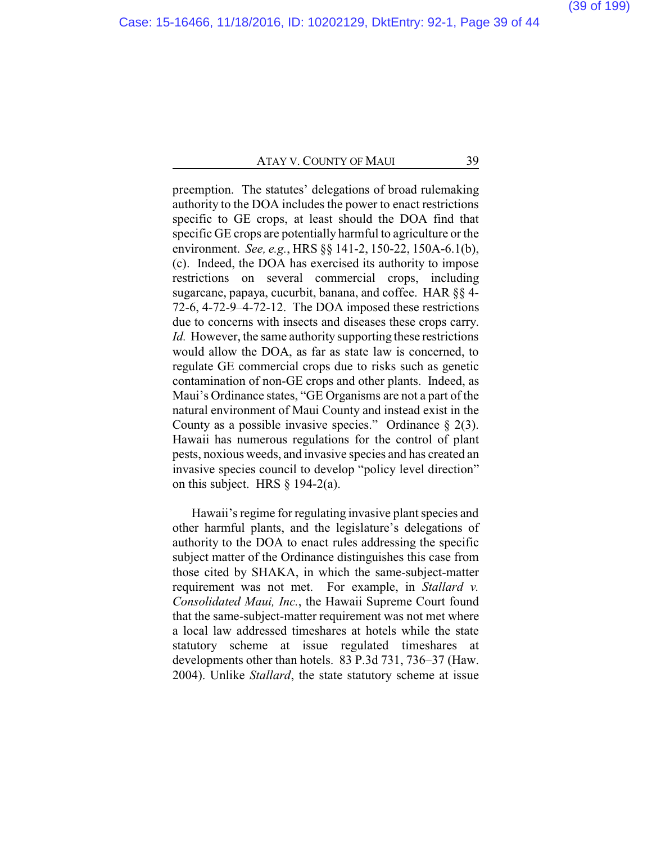preemption. The statutes' delegations of broad rulemaking authority to the DOA includes the power to enact restrictions specific to GE crops, at least should the DOA find that specific GE crops are potentially harmful to agriculture or the environment. *See, e.g.*, HRS §§ 141-2, 150-22, 150A-6.1(b), (c). Indeed, the DOA has exercised its authority to impose restrictions on several commercial crops, including sugarcane, papaya, cucurbit, banana, and coffee. HAR §§ 4- 72-6, 4-72-9–4-72-12. The DOA imposed these restrictions due to concerns with insects and diseases these crops carry. *Id.* However, the same authority supporting these restrictions would allow the DOA, as far as state law is concerned, to regulate GE commercial crops due to risks such as genetic contamination of non-GE crops and other plants. Indeed, as Maui's Ordinance states, "GE Organisms are not a part of the natural environment of Maui County and instead exist in the County as a possible invasive species." Ordinance  $\S$  2(3). Hawaii has numerous regulations for the control of plant pests, noxious weeds, and invasive species and has created an invasive species council to develop "policy level direction" on this subject. HRS § 194-2(a).

Hawaii's regime for regulating invasive plant species and other harmful plants, and the legislature's delegations of authority to the DOA to enact rules addressing the specific subject matter of the Ordinance distinguishes this case from those cited by SHAKA, in which the same-subject-matter requirement was not met. For example, in *Stallard v. Consolidated Maui, Inc.*, the Hawaii Supreme Court found that the same-subject-matter requirement was not met where a local law addressed timeshares at hotels while the state statutory scheme at issue regulated timeshares at developments other than hotels. 83 P.3d 731, 736–37 (Haw. 2004). Unlike *Stallard*, the state statutory scheme at issue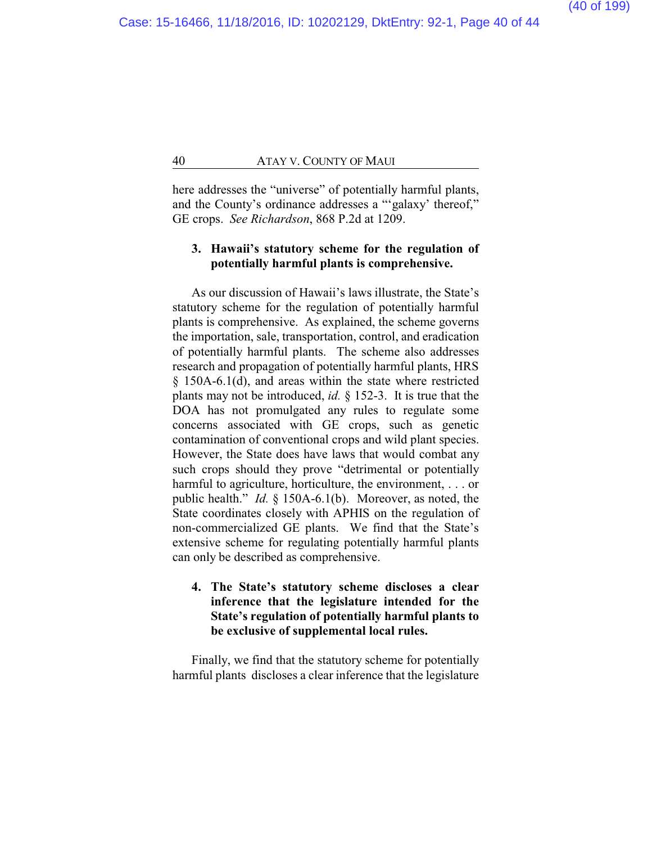here addresses the "universe" of potentially harmful plants, and the County's ordinance addresses a "'galaxy' thereof," GE crops. *See Richardson*, 868 P.2d at 1209.

## **3. Hawaii's statutory scheme for the regulation of potentially harmful plants is comprehensive.**

As our discussion of Hawaii's laws illustrate, the State's statutory scheme for the regulation of potentially harmful plants is comprehensive. As explained, the scheme governs the importation, sale, transportation, control, and eradication of potentially harmful plants. The scheme also addresses research and propagation of potentially harmful plants, HRS § 150A-6.1(d), and areas within the state where restricted plants may not be introduced, *id.* § 152-3. It is true that the DOA has not promulgated any rules to regulate some concerns associated with GE crops, such as genetic contamination of conventional crops and wild plant species. However, the State does have laws that would combat any such crops should they prove "detrimental or potentially harmful to agriculture, horticulture, the environment, . . . or public health." *Id.* § 150A-6.1(b). Moreover, as noted, the State coordinates closely with APHIS on the regulation of non-commercialized GE plants. We find that the State's extensive scheme for regulating potentially harmful plants can only be described as comprehensive.

## **4. The State's statutory scheme discloses a clear inference that the legislature intended for the State's regulation of potentially harmful plants to be exclusive of supplemental local rules.**

Finally, we find that the statutory scheme for potentially harmful plants discloses a clear inference that the legislature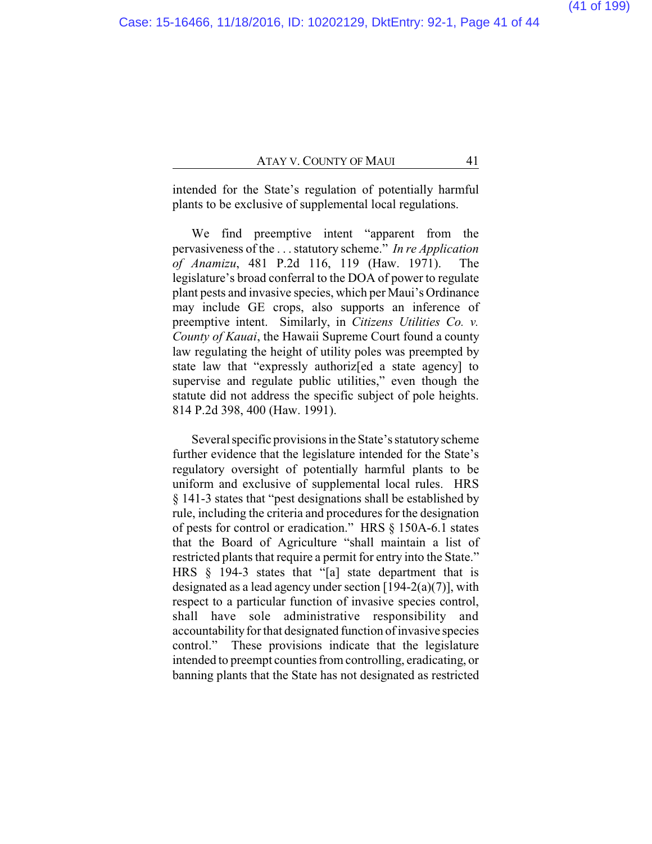intended for the State's regulation of potentially harmful plants to be exclusive of supplemental local regulations.

We find preemptive intent "apparent from the pervasiveness of the . . .statutory scheme." *In re Application of Anamizu*, 481 P.2d 116, 119 (Haw. 1971). The legislature's broad conferral to the DOA of power to regulate plant pests and invasive species, which per Maui's Ordinance may include GE crops, also supports an inference of preemptive intent. Similarly, in *Citizens Utilities Co. v. County of Kauai*, the Hawaii Supreme Court found a county law regulating the height of utility poles was preempted by state law that "expressly authoriz[ed a state agency] to supervise and regulate public utilities," even though the statute did not address the specific subject of pole heights. 814 P.2d 398, 400 (Haw. 1991).

Several specific provisions in the State's statutory scheme further evidence that the legislature intended for the State's regulatory oversight of potentially harmful plants to be uniform and exclusive of supplemental local rules. HRS § 141-3 states that "pest designations shall be established by rule, including the criteria and procedures for the designation of pests for control or eradication." HRS § 150A-6.1 states that the Board of Agriculture "shall maintain a list of restricted plants that require a permit for entry into the State." HRS § 194-3 states that "[a] state department that is designated as a lead agency under section  $[194-2(a)(7)]$ , with respect to a particular function of invasive species control, shall have sole administrative responsibility and accountability for that designated function of invasive species control." These provisions indicate that the legislature intended to preempt counties from controlling, eradicating, or banning plants that the State has not designated as restricted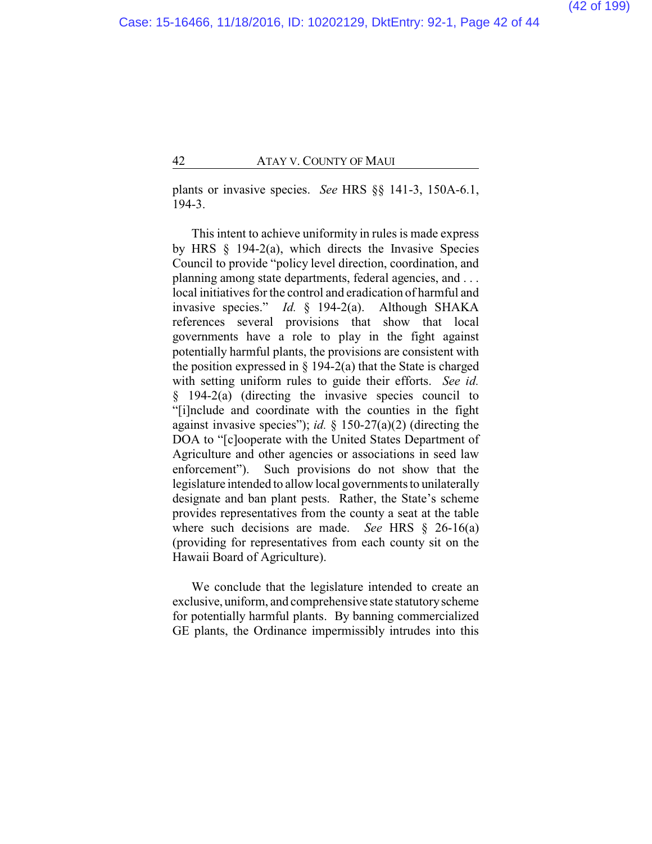plants or invasive species. *See* HRS §§ 141-3, 150A-6.1, 194-3.

This intent to achieve uniformity in rules is made express by HRS § 194-2(a), which directs the Invasive Species Council to provide "policy level direction, coordination, and planning among state departments, federal agencies, and ... local initiatives for the control and eradication of harmful and invasive species." *Id.* § 194-2(a). Although SHAKA references several provisions that show that local governments have a role to play in the fight against potentially harmful plants, the provisions are consistent with the position expressed in  $\S$  194-2(a) that the State is charged with setting uniform rules to guide their efforts. *See id.* § 194-2(a) (directing the invasive species council to "[i]nclude and coordinate with the counties in the fight against invasive species"); *id.* § 150-27(a)(2) (directing the DOA to "[c]ooperate with the United States Department of Agriculture and other agencies or associations in seed law enforcement"). Such provisions do not show that the legislature intended to allow local governments to unilaterally designate and ban plant pests. Rather, the State's scheme provides representatives from the county a seat at the table where such decisions are made. *See* HRS § 26-16(a) (providing for representatives from each county sit on the Hawaii Board of Agriculture).

We conclude that the legislature intended to create an exclusive, uniform, and comprehensive state statutoryscheme for potentially harmful plants. By banning commercialized GE plants, the Ordinance impermissibly intrudes into this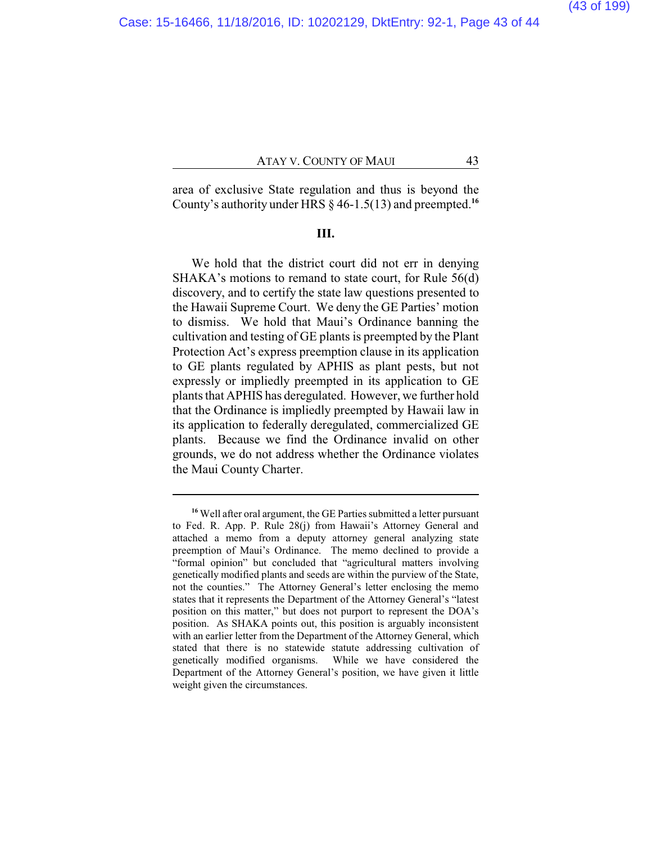area of exclusive State regulation and thus is beyond the County's authority under HRS § 46-1.5(13) and preempted.**<sup>16</sup>**

#### **III.**

We hold that the district court did not err in denying SHAKA's motions to remand to state court, for Rule 56(d) discovery, and to certify the state law questions presented to the Hawaii Supreme Court. We deny the GE Parties' motion to dismiss. We hold that Maui's Ordinance banning the cultivation and testing of GE plants is preempted by the Plant Protection Act's express preemption clause in its application to GE plants regulated by APHIS as plant pests, but not expressly or impliedly preempted in its application to GE plants that APHIS has deregulated. However, we further hold that the Ordinance is impliedly preempted by Hawaii law in its application to federally deregulated, commercialized GE plants. Because we find the Ordinance invalid on other grounds, we do not address whether the Ordinance violates the Maui County Charter.

**<sup>16</sup>** Well after oral argument, the GE Parties submitted a letter pursuant to Fed. R. App. P. Rule 28(j) from Hawaii's Attorney General and attached a memo from a deputy attorney general analyzing state preemption of Maui's Ordinance. The memo declined to provide a "formal opinion" but concluded that "agricultural matters involving genetically modified plants and seeds are within the purview of the State, not the counties." The Attorney General's letter enclosing the memo states that it represents the Department of the Attorney General's "latest position on this matter," but does not purport to represent the DOA's position. As SHAKA points out, this position is arguably inconsistent with an earlier letter from the Department of the Attorney General, which stated that there is no statewide statute addressing cultivation of genetically modified organisms. While we have considered the Department of the Attorney General's position, we have given it little weight given the circumstances.